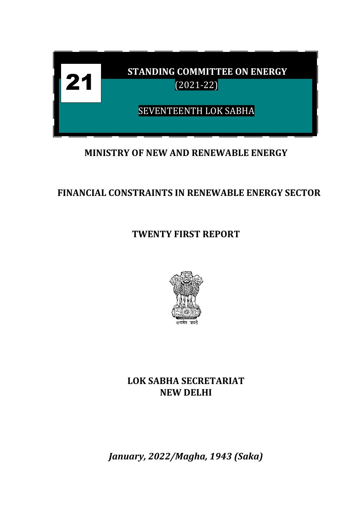

# **MINISTRY OF NEW AND RENEWABLE ENERGY**

# **FINANCIAL CONSTRAINTS IN RENEWABLE ENERGY SECTOR**

**TWENTY FIRST REPORT**



**LOK SABHA SECRETARIAT NEW DELHI**

*January, 2022/Magha, 1943 (Saka)*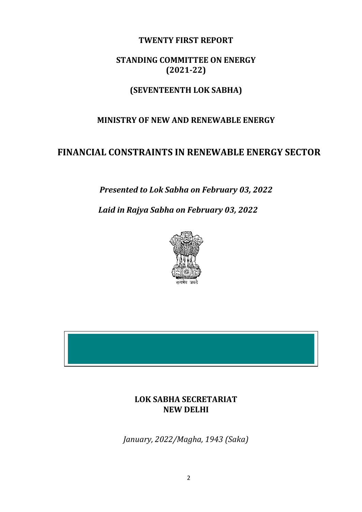#### **TWENTY FIRST REPORT**

## **STANDING COMMITTEE ON ENERGY (2021-22)**

## **(SEVENTEENTH LOK SABHA)**

#### **MINISTRY OF NEW AND RENEWABLE ENERGY**

## **FINANCIAL CONSTRAINTS IN RENEWABLE ENERGY SECTOR**

*Presented to Lok Sabha on February 03, 2022*

*Laid in Rajya Sabha on February 03, 2022*



## **LOK SABHA SECRETARIAT NEW DELHI**

*January, 2022/Magha, 1943 (Saka)*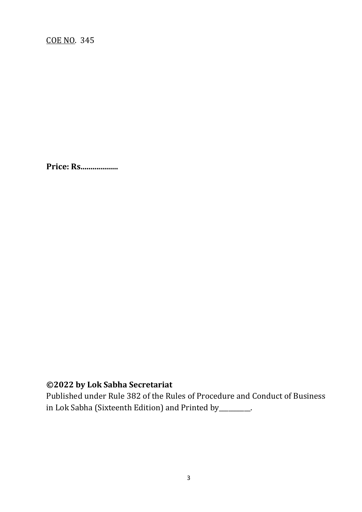**Price: Rs...................**

# **©2022 by Lok Sabha Secretariat**

Published under Rule 382 of the Rules of Procedure and Conduct of Business in Lok Sabha (Sixteenth Edition) and Printed by\_\_\_\_\_\_\_\_\_\_.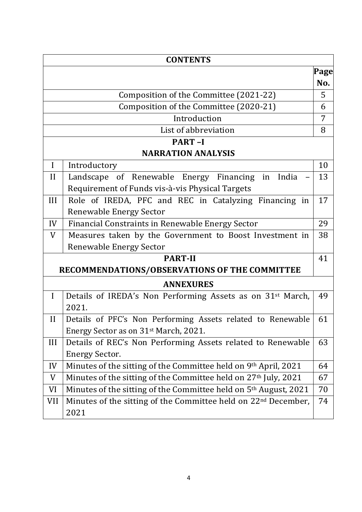| <b>CONTENTS</b>                                                      |                                                                              |      |  |  |  |  |
|----------------------------------------------------------------------|------------------------------------------------------------------------------|------|--|--|--|--|
|                                                                      |                                                                              | Page |  |  |  |  |
|                                                                      |                                                                              | No.  |  |  |  |  |
| Composition of the Committee (2021-22)                               |                                                                              |      |  |  |  |  |
|                                                                      | Composition of the Committee (2020-21)                                       | 6    |  |  |  |  |
|                                                                      | Introduction                                                                 | 7    |  |  |  |  |
|                                                                      | List of abbreviation                                                         | 8    |  |  |  |  |
|                                                                      | <b>PART-I</b>                                                                |      |  |  |  |  |
|                                                                      | <b>NARRATION ANALYSIS</b>                                                    |      |  |  |  |  |
| $\mathbf I$                                                          | Introductory                                                                 | 10   |  |  |  |  |
| II                                                                   | Landscape of Renewable Energy Financing in India                             | 13   |  |  |  |  |
|                                                                      | Requirement of Funds vis-à-vis Physical Targets                              |      |  |  |  |  |
| III                                                                  | Role of IREDA, PFC and REC in Catalyzing Financing in                        | 17   |  |  |  |  |
|                                                                      | <b>Renewable Energy Sector</b>                                               |      |  |  |  |  |
| IV                                                                   | Financial Constraints in Renewable Energy Sector                             | 29   |  |  |  |  |
| Measures taken by the Government to Boost Investment in<br>38<br>V   |                                                                              |      |  |  |  |  |
| <b>Renewable Energy Sector</b>                                       |                                                                              |      |  |  |  |  |
| <b>PART-II</b>                                                       |                                                                              |      |  |  |  |  |
| RECOMMENDATIONS/OBSERVATIONS OF THE COMMITTEE                        |                                                                              |      |  |  |  |  |
| <b>ANNEXURES</b>                                                     |                                                                              |      |  |  |  |  |
| $\mathbf I$                                                          | Details of IREDA's Non Performing Assets as on 31 <sup>st</sup> March,       | 49   |  |  |  |  |
|                                                                      | 2021.                                                                        |      |  |  |  |  |
| $\mathbf{I}$                                                         | Details of PFC's Non Performing Assets related to Renewable                  | 61   |  |  |  |  |
|                                                                      | Energy Sector as on 31 <sup>st</sup> March, 2021.                            |      |  |  |  |  |
| III                                                                  | Details of REC's Non Performing Assets related to Renewable                  | 63   |  |  |  |  |
|                                                                      | <b>Energy Sector.</b>                                                        |      |  |  |  |  |
| IV                                                                   | Minutes of the sitting of the Committee held on 9th April, 2021              | 64   |  |  |  |  |
| Minutes of the sitting of the Committee held on 27th July, 2021<br>V |                                                                              |      |  |  |  |  |
| VI                                                                   | Minutes of the sitting of the Committee held on 5 <sup>th</sup> August, 2021 | 70   |  |  |  |  |
| VII                                                                  | Minutes of the sitting of the Committee held on 22 <sup>nd</sup> December,   | 74   |  |  |  |  |
|                                                                      | 2021                                                                         |      |  |  |  |  |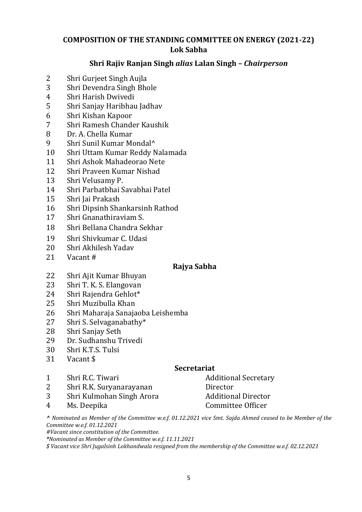### **COMPOSITION OF THE STANDING COMMITTEE ON ENERGY (2021-22) Lok Sabha**

#### **Shri Rajiv Ranjan Singh** *alias* **Lalan Singh –** *Chairperson*

- Shri Gurjeet Singh Aujla
- Shri Devendra Singh Bhole
- Shri Harish Dwivedi
- Shri Sanjay Haribhau Jadhav
- Shri Kishan Kapoor
- Shri Ramesh Chander Kaushik
- Dr. A. Chella Kumar
- Shri Sunil Kumar Mondal^
- Shri Uttam Kumar Reddy Nalamada
- Shri Ashok Mahadeorao Nete
- Shri Praveen Kumar Nishad
- Shri Velusamy P.
- Shri Parbatbhai Savabhai Patel
- Shri Jai Prakash
- Shri Dipsinh Shankarsinh Rathod
- Shri Gnanathiraviam S.
- Shri Bellana Chandra Sekhar
- Shri Shivkumar C. Udasi
- Shri Akhilesh Yadav
- Vacant #

#### **Rajya Sabha**

- Shri Ajit Kumar Bhuyan
- Shri T. K. S. Elangovan
- Shri Rajendra Gehlot\*
- Shri Muzibulla Khan
- Shri Maharaja Sanajaoba Leishemba
- Shri S. Selvaganabathy\*
- Shri Sanjay Seth
- Dr. Sudhanshu Trivedi
- Shri K.T.S. Tulsi
- Vacant \$

#### **Secretariat**

- 1 Shri R.C. Tiwari **Additional Secretary** Additional Secretary
- Shri R.K. Suryanarayanan Director
- 3 Shri Kulmohan Singh Arora Additional Director
- 

Ms. Deepika Committee Officer

*^ Nominated as Member of the Committee w.e.f. 01.12.2021 vice Smt. Sajda Ahmed ceased to be Member of the Committee w.e.f. 01.12.2021*

*#Vacant since constitution of the Committee.*

*\*Nominated as Member of the Committee w.e.f. 11.11.2021*

*\$ Vacant vice Shri Jugalsinh Lokhandwala resigned from the membership of the Committee w.e.f. 02.12.2021*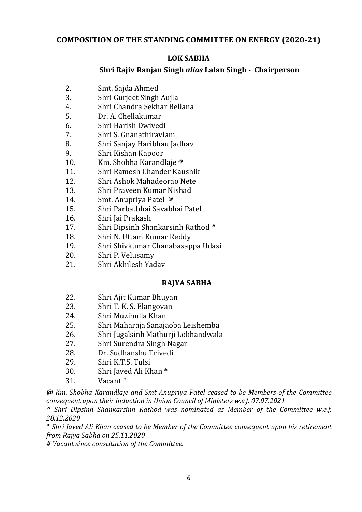#### **COMPOSITION OF THE STANDING COMMITTEE ON ENERGY (2020-21)**

#### **LOK SABHA**

#### **Shri Rajiv Ranjan Singh** *alias* **Lalan Singh - Chairperson**

- 2. Smt. Sajda Ahmed
- 3. Shri Gurjeet Singh Aujla
- 4. Shri Chandra Sekhar Bellana
- 5. Dr. A. Chellakumar
- 6. Shri Harish Dwivedi
- 7. Shri S. Gnanathiraviam
- 8. Shri Sanjay Haribhau Jadhav
- 9. Shri Kishan Kapoor
- 10. Km. Shobha Karandlaje **@**
- 11. Shri Ramesh Chander Kaushik
- 12. Shri Ashok Mahadeorao Nete
- 13. Shri Praveen Kumar Nishad
- 14. Smt. Anupriya Patel **@**
- 15. Shri Parbatbhai Savabhai Patel
- 16. Shri Jai Prakash
- 17. Shri Dipsinh Shankarsinh Rathod **^**
- 18. Shri N. Uttam Kumar Reddy
- 19. Shri Shivkumar Chanabasappa Udasi
- 20. Shri P. Velusamy
- 21. Shri Akhilesh Yadav

#### **RAJYA SABHA**

- 22. Shri Ajit Kumar Bhuyan
- 23. Shri T. K. S. Elangovan
- 24. Shri Muzibulla Khan
- 25. Shri Maharaja Sanajaoba Leishemba
- 26. Shri Jugalsinh Mathurji Lokhandwala
- 27. Shri Surendra Singh Nagar
- 28. Dr. Sudhanshu Trivedi
- 29. Shri K.T.S. Tulsi
- 30. Shri Javed Ali Khan **\***
- 31. Vacant **#**

*@ Km. Shobha Karandlaje and Smt Anupriya Patel ceased to be Members of the Committee consequent upon their induction in Union Council of Ministers w.e.f. 07.07.2021*

*^ Shri Dipsinh Shankarsinh Rathod was nominated as Member of the Committee w.e.f. 28.12.2020*

*\* Shri Javed Ali Khan ceased to be Member of the Committee consequent upon his retirement from Rajya Sabha on 25.11.2020*

*# Vacant since constitution of the Committee.*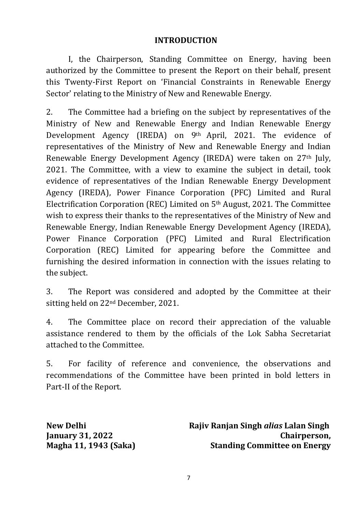#### **INTRODUCTION**

I, the Chairperson, Standing Committee on Energy, having been authorized by the Committee to present the Report on their behalf, present this Twenty-First Report on 'Financial Constraints in Renewable Energy Sector' relating to the Ministry of New and Renewable Energy.

2. The Committee had a briefing on the subject by representatives of the Ministry of New and Renewable Energy and Indian Renewable Energy Development Agency (IREDA) on 9<sup>th</sup> April, 2021. The evidence of representatives of the Ministry of New and Renewable Energy and Indian Renewable Energy Development Agency (IREDA) were taken on 27th July, 2021. The Committee, with a view to examine the subject in detail, took evidence of representatives of the Indian Renewable Energy Development Agency (IREDA), Power Finance Corporation (PFC) Limited and Rural Electrification Corporation (REC) Limited on 5th August, 2021. The Committee wish to express their thanks to the representatives of the Ministry of New and Renewable Energy, Indian Renewable Energy Development Agency (IREDA), Power Finance Corporation (PFC) Limited and Rural Electrification Corporation (REC) Limited for appearing before the Committee and furnishing the desired information in connection with the issues relating to the subject.

3. The Report was considered and adopted by the Committee at their sitting held on 22nd December, 2021.

4. The Committee place on record their appreciation of the valuable assistance rendered to them by the officials of the Lok Sabha Secretariat attached to the Committee.

5. For facility of reference and convenience, the observations and recommendations of the Committee have been printed in bold letters in Part-II of the Report.

**New Delhi January 31, 2022 Magha 11, 1943 (Saka)**  **Rajiv Ranjan Singh** *alias* **Lalan Singh Chairperson, Standing Committee on Energy**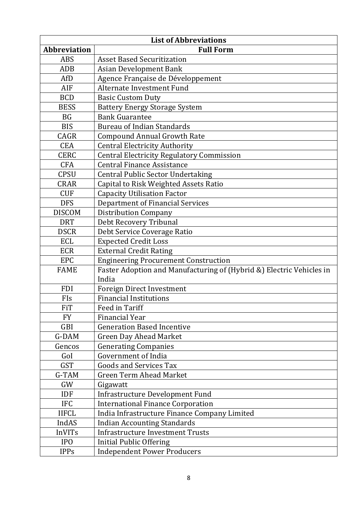| <b>List of Abbreviations</b> |                                                                      |  |  |  |  |  |
|------------------------------|----------------------------------------------------------------------|--|--|--|--|--|
| <b>Abbreviation</b>          | <b>Full Form</b>                                                     |  |  |  |  |  |
| <b>ABS</b>                   | <b>Asset Based Securitization</b>                                    |  |  |  |  |  |
| <b>ADB</b>                   | <b>Asian Development Bank</b>                                        |  |  |  |  |  |
| AfD                          | Agence Française de Développement                                    |  |  |  |  |  |
| AIF                          | <b>Alternate Investment Fund</b>                                     |  |  |  |  |  |
| <b>BCD</b>                   | <b>Basic Custom Duty</b>                                             |  |  |  |  |  |
| <b>BESS</b>                  | <b>Battery Energy Storage System</b>                                 |  |  |  |  |  |
| <b>BG</b>                    | <b>Bank Guarantee</b>                                                |  |  |  |  |  |
| <b>BIS</b>                   | <b>Bureau of Indian Standards</b>                                    |  |  |  |  |  |
| CAGR                         | <b>Compound Annual Growth Rate</b>                                   |  |  |  |  |  |
| <b>CEA</b>                   | <b>Central Electricity Authority</b>                                 |  |  |  |  |  |
| <b>CERC</b>                  | <b>Central Electricity Regulatory Commission</b>                     |  |  |  |  |  |
| <b>CFA</b>                   | <b>Central Finance Assistance</b>                                    |  |  |  |  |  |
| <b>CPSU</b>                  | <b>Central Public Sector Undertaking</b>                             |  |  |  |  |  |
| <b>CRAR</b>                  | Capital to Risk Weighted Assets Ratio                                |  |  |  |  |  |
| <b>CUF</b>                   | <b>Capacity Utilisation Factor</b>                                   |  |  |  |  |  |
| <b>DFS</b>                   | <b>Department of Financial Services</b>                              |  |  |  |  |  |
| <b>DISCOM</b>                | <b>Distribution Company</b>                                          |  |  |  |  |  |
| <b>DRT</b>                   | Debt Recovery Tribunal                                               |  |  |  |  |  |
| <b>DSCR</b>                  | Debt Service Coverage Ratio                                          |  |  |  |  |  |
| <b>ECL</b>                   | <b>Expected Credit Loss</b>                                          |  |  |  |  |  |
| <b>ECR</b>                   | <b>External Credit Rating</b>                                        |  |  |  |  |  |
| <b>EPC</b>                   | <b>Engineering Procurement Construction</b>                          |  |  |  |  |  |
| <b>FAME</b>                  | Faster Adoption and Manufacturing of (Hybrid &) Electric Vehicles in |  |  |  |  |  |
|                              | India                                                                |  |  |  |  |  |
| <b>FDI</b>                   | <b>Foreign Direct Investment</b>                                     |  |  |  |  |  |
| FIs                          | <b>Financial Institutions</b>                                        |  |  |  |  |  |
| <b>FiT</b>                   | Feed in Tariff                                                       |  |  |  |  |  |
| <b>FY</b>                    | <b>Financial Year</b>                                                |  |  |  |  |  |
| <b>GBI</b>                   | <b>Generation Based Incentive</b>                                    |  |  |  |  |  |
| G-DAM                        | <b>Green Day Ahead Market</b>                                        |  |  |  |  |  |
| Gencos                       | <b>Generating Companies</b>                                          |  |  |  |  |  |
| GoI                          | <b>Government of India</b>                                           |  |  |  |  |  |
| <b>GST</b>                   | <b>Goods and Services Tax</b>                                        |  |  |  |  |  |
| G-TAM                        | <b>Green Term Ahead Market</b>                                       |  |  |  |  |  |
| GW                           | Gigawatt                                                             |  |  |  |  |  |
| <b>IDF</b>                   | <b>Infrastructure Development Fund</b>                               |  |  |  |  |  |
| <b>IFC</b>                   | <b>International Finance Corporation</b>                             |  |  |  |  |  |
| <b>IIFCL</b>                 | India Infrastructure Finance Company Limited                         |  |  |  |  |  |
| IndAS                        | <b>Indian Accounting Standards</b>                                   |  |  |  |  |  |
| <b>InVITs</b>                | <b>Infrastructure Investment Trusts</b>                              |  |  |  |  |  |
| IP <sub>0</sub>              | <b>Initial Public Offering</b>                                       |  |  |  |  |  |
| <b>IPPs</b>                  | <b>Independent Power Producers</b>                                   |  |  |  |  |  |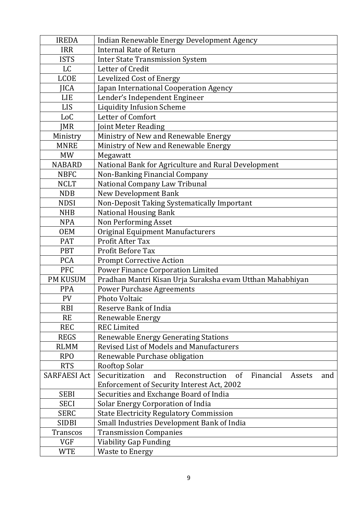| <b>IREDA</b>        | Indian Renewable Energy Development Agency                                  |  |  |  |  |  |  |  |
|---------------------|-----------------------------------------------------------------------------|--|--|--|--|--|--|--|
| <b>IRR</b>          | <b>Internal Rate of Return</b>                                              |  |  |  |  |  |  |  |
| <b>ISTS</b>         | <b>Inter State Transmission System</b>                                      |  |  |  |  |  |  |  |
| <b>LC</b>           | Letter of Credit                                                            |  |  |  |  |  |  |  |
| <b>LCOE</b>         | <b>Levelized Cost of Energy</b>                                             |  |  |  |  |  |  |  |
| <b>IICA</b>         | Japan International Cooperation Agency                                      |  |  |  |  |  |  |  |
| <b>LIE</b>          | Lender's Independent Engineer                                               |  |  |  |  |  |  |  |
| <b>LIS</b>          | <b>Liquidity Infusion Scheme</b>                                            |  |  |  |  |  |  |  |
| LoC                 | Letter of Comfort                                                           |  |  |  |  |  |  |  |
| <b>JMR</b>          | Joint Meter Reading                                                         |  |  |  |  |  |  |  |
| Ministry            | Ministry of New and Renewable Energy                                        |  |  |  |  |  |  |  |
| <b>MNRE</b>         | Ministry of New and Renewable Energy                                        |  |  |  |  |  |  |  |
| <b>MW</b>           | Megawatt                                                                    |  |  |  |  |  |  |  |
| <b>NABARD</b>       | National Bank for Agriculture and Rural Development                         |  |  |  |  |  |  |  |
| <b>NBFC</b>         | Non-Banking Financial Company                                               |  |  |  |  |  |  |  |
| <b>NCLT</b>         | National Company Law Tribunal                                               |  |  |  |  |  |  |  |
| <b>NDB</b>          | <b>New Development Bank</b>                                                 |  |  |  |  |  |  |  |
| <b>NDSI</b>         | Non-Deposit Taking Systematically Important                                 |  |  |  |  |  |  |  |
| <b>NHB</b>          | <b>National Housing Bank</b>                                                |  |  |  |  |  |  |  |
| <b>NPA</b>          | <b>Non Performing Asset</b>                                                 |  |  |  |  |  |  |  |
| <b>OEM</b>          | Original Equipment Manufacturers                                            |  |  |  |  |  |  |  |
| PAT                 | Profit After Tax                                                            |  |  |  |  |  |  |  |
| <b>PBT</b>          | <b>Profit Before Tax</b>                                                    |  |  |  |  |  |  |  |
| <b>PCA</b>          | <b>Prompt Corrective Action</b>                                             |  |  |  |  |  |  |  |
| <b>PFC</b>          | <b>Power Finance Corporation Limited</b>                                    |  |  |  |  |  |  |  |
| <b>PM KUSUM</b>     | Pradhan Mantri Kisan Urja Suraksha evam Utthan Mahabhiyan                   |  |  |  |  |  |  |  |
| <b>PPA</b>          | <b>Power Purchase Agreements</b>                                            |  |  |  |  |  |  |  |
| <b>PV</b>           | Photo Voltaic                                                               |  |  |  |  |  |  |  |
| <b>RBI</b>          | <b>Reserve Bank of India</b>                                                |  |  |  |  |  |  |  |
| <b>RE</b>           | Renewable Energy                                                            |  |  |  |  |  |  |  |
| <b>REC</b>          | <b>REC</b> Limited                                                          |  |  |  |  |  |  |  |
| <b>REGS</b>         | <b>Renewable Energy Generating Stations</b>                                 |  |  |  |  |  |  |  |
| <b>RLMM</b>         | <b>Revised List of Models and Manufacturers</b>                             |  |  |  |  |  |  |  |
| <b>RPO</b>          | Renewable Purchase obligation                                               |  |  |  |  |  |  |  |
| <b>RTS</b>          | Rooftop Solar                                                               |  |  |  |  |  |  |  |
| <b>SARFAESI Act</b> | Securitization<br>of<br>and<br>Reconstruction<br>Financial<br>Assets<br>and |  |  |  |  |  |  |  |
|                     | <b>Enforcement of Security Interest Act, 2002</b>                           |  |  |  |  |  |  |  |
| <b>SEBI</b>         | Securities and Exchange Board of India                                      |  |  |  |  |  |  |  |
| <b>SECI</b>         | Solar Energy Corporation of India                                           |  |  |  |  |  |  |  |
| <b>SERC</b>         | <b>State Electricity Regulatory Commission</b>                              |  |  |  |  |  |  |  |
| <b>SIDBI</b>        | Small Industries Development Bank of India                                  |  |  |  |  |  |  |  |
| <b>Transcos</b>     | <b>Transmission Companies</b>                                               |  |  |  |  |  |  |  |
| <b>VGF</b>          | <b>Viability Gap Funding</b>                                                |  |  |  |  |  |  |  |
| <b>WTE</b>          | <b>Waste to Energy</b>                                                      |  |  |  |  |  |  |  |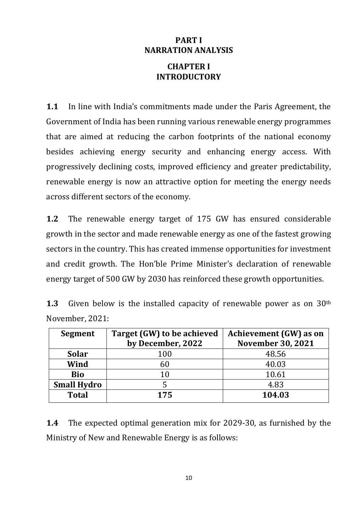## **PART I NARRATION ANALYSIS**

## **CHAPTER I INTRODUCTORY**

**1.1** In line with India's commitments made under the Paris Agreement, the Government of India has been running various renewable energy programmes that are aimed at reducing the carbon footprints of the national economy besides achieving energy security and enhancing energy access. With progressively declining costs, improved efficiency and greater predictability, renewable energy is now an attractive option for meeting the energy needs across different sectors of the economy.

**1.2** The renewable energy target of 175 GW has ensured considerable growth in the sector and made renewable energy as one of the fastest growing sectors in the country. This has created immense opportunities for investment and credit growth. The Hon'ble Prime Minister's declaration of renewable energy target of 500 GW by 2030 has reinforced these growth opportunities.

| <b>1.3</b> Given below is the installed capacity of renewable power as on $30th$ |  |  |  |  |  |
|----------------------------------------------------------------------------------|--|--|--|--|--|
| November, 2021:                                                                  |  |  |  |  |  |

| Target (GW) to be achieved | Achievement (GW) as on   |  |  |  |
|----------------------------|--------------------------|--|--|--|
| by December, 2022          | <b>November 30, 2021</b> |  |  |  |
| 100                        | 48.56                    |  |  |  |
| 60                         | 40.03                    |  |  |  |
| 10                         | 10.61                    |  |  |  |
|                            | 4.83                     |  |  |  |
| 175                        | 104.03                   |  |  |  |
|                            |                          |  |  |  |

**1.4** The expected optimal generation mix for 2029-30, as furnished by the Ministry of New and Renewable Energy is as follows: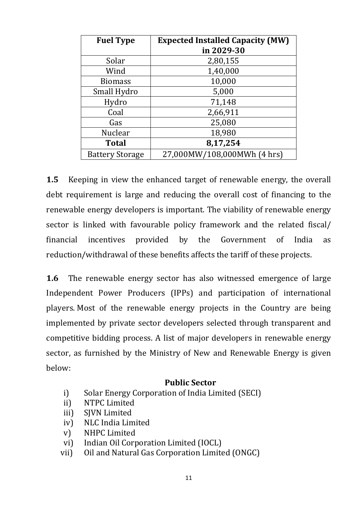| <b>Fuel Type</b>       | <b>Expected Installed Capacity (MW)</b><br>in 2029-30 |  |  |  |
|------------------------|-------------------------------------------------------|--|--|--|
| Solar                  | 2,80,155                                              |  |  |  |
| Wind                   | 1,40,000                                              |  |  |  |
| <b>Biomass</b>         | 10,000                                                |  |  |  |
| Small Hydro            | 5,000                                                 |  |  |  |
| Hydro                  | 71,148                                                |  |  |  |
| Coal                   | 2,66,911                                              |  |  |  |
| Gas                    | 25,080                                                |  |  |  |
| Nuclear                | 18,980                                                |  |  |  |
| <b>Total</b>           | 8,17,254                                              |  |  |  |
| <b>Battery Storage</b> | 27,000MW/108,000MWh (4 hrs)                           |  |  |  |

**1.5** Keeping in view the enhanced target of renewable energy, the overall debt requirement is large and reducing the overall cost of financing to the renewable energy developers is important. The viability of renewable energy sector is linked with favourable policy framework and the related fiscal/ financial incentives provided by the Government of India as reduction/withdrawal of these benefits affects the tariff of these projects.

**1.6** The renewable energy sector has also witnessed emergence of large Independent Power Producers (IPPs) and participation of international players. Most of the renewable energy projects in the Country are being implemented by private sector developers selected through transparent and competitive bidding process. A list of major developers in renewable energy sector, as furnished by the Ministry of New and Renewable Energy is given below:

#### **Public Sector**

- i) Solar Energy Corporation of India Limited (SECI)
- ii) NTPC Limited
- iii) SJVN Limited
- iv) NLC India Limited
- v) NHPC Limited
- vi) Indian Oil Corporation Limited (IOCL)
- vii) Oil and Natural Gas Corporation Limited (ONGC)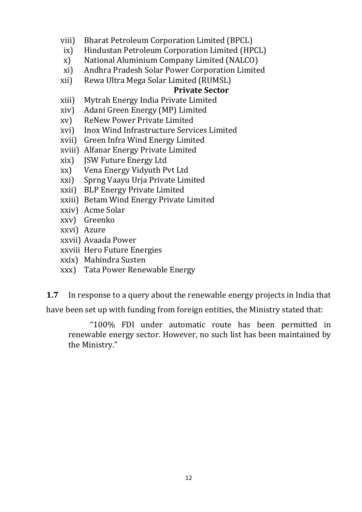- viii) Bharat Petroleum Corporation Limited (BPCL)
- ix) Hindustan Petroleum Corporation Limited (HPCL)
- x) National Aluminium Company Limited (NALCO)
- xi) Andhra Pradesh Solar Power Corporation Limited
- xii) Rewa Ultra Mega Solar Limited (RUMSL)

### **Private Sector**

- xiii) Mytrah Energy India Private Limited
- xiv) Adani Green Energy (MP) Limited
- xv) ReNew Power Private Limited
- xvi) Inox Wind Infrastructure Services Limited
- xvii) Green Infra Wind Energy Limited
- xviii) Alfanar Energy Private Limited
- xix) JSW Future Energy Ltd
- xx) Vena Energy Vidyuth Pvt Ltd
- xxi) Sprng Vaayu Urja Private Limited
- xxii) BLP Energy Private Limited
- xxiii) Betam Wind Energy Private Limited
- xxiv) Acme Solar
- xxv) Greenko
- xxvi) Azure
- xxvii) Avaada Power
- xxviii)Hero Future Energies
- xxix) Mahindra Susten
- xxx) Tata Power Renewable Energy

**1.7** In response to a query about the renewable energy projects in India that

have been set up with funding from foreign entities, the Ministry stated that:

"100% FDI under automatic route has been permitted in renewable energy sector. However, no such list has been maintained by the Ministry."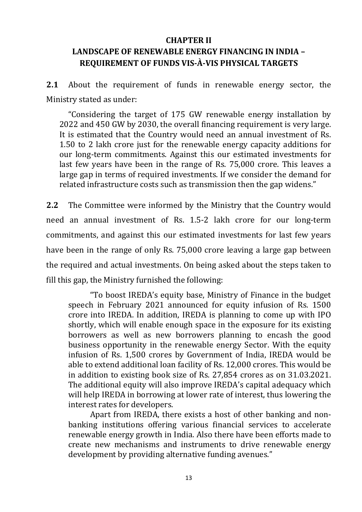#### **CHAPTER II**

## **LANDSCAPE OF RENEWABLE ENERGY FINANCING IN INDIA – REQUIREMENT OF FUNDS VIS-À-VIS PHYSICAL TARGETS**

**2.1** About the requirement of funds in renewable energy sector, the Ministry stated as under:

"Considering the target of 175 GW renewable energy installation by 2022 and 450 GW by 2030, the overall financing requirement is very large. It is estimated that the Country would need an annual investment of Rs. 1.50 to 2 lakh crore just for the renewable energy capacity additions for our long-term commitments. Against this our estimated investments for last few years have been in the range of Rs. 75,000 crore. This leaves a large gap in terms of required investments. If we consider the demand for related infrastructure costs such as transmission then the gap widens."

**2.2** The Committee were informed by the Ministry that the Country would need an annual investment of Rs. 1.5-2 lakh crore for our long-term commitments, and against this our estimated investments for last few years have been in the range of only Rs. 75,000 crore leaving a large gap between the required and actual investments. On being asked about the steps taken to fill this gap, the Ministry furnished the following:

"To boost IREDA's equity base, Ministry of Finance in the budget speech in February 2021 announced for equity infusion of Rs. 1500 crore into IREDA. In addition, IREDA is planning to come up with IPO shortly, which will enable enough space in the exposure for its existing borrowers as well as new borrowers planning to encash the good business opportunity in the renewable energy Sector. With the equity infusion of Rs. 1,500 crores by Government of India, IREDA would be able to extend additional loan facility of Rs. 12,000 crores. This would be in addition to existing book size of Rs. 27,854 crores as on 31.03.2021. The additional equity will also improve IREDA's capital adequacy which will help IREDA in borrowing at lower rate of interest, thus lowering the interest rates for developers.

Apart from IREDA, there exists a host of other banking and nonbanking institutions offering various financial services to accelerate renewable energy growth in India. Also there have been efforts made to create new mechanisms and instruments to drive renewable energy development by providing alternative funding avenues."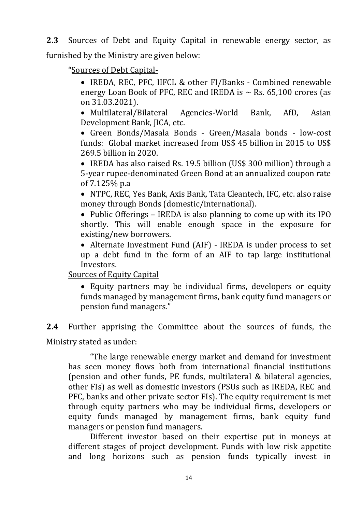**2.3** Sources of Debt and Equity Capital in renewable energy sector, as furnished by the Ministry are given below:

"Sources of Debt Capital-

 IREDA, REC, PFC, IIFCL & other FI/Banks - Combined renewable energy Loan Book of PFC, REC and IREDA is  $\sim$  Rs. 65,100 crores (as on 31.03.2021).

 Multilateral/Bilateral Agencies-World Bank, AfD, Asian Development Bank, JICA, etc.

 Green Bonds/Masala Bonds - Green/Masala bonds - low-cost funds: Global market increased from US\$ 45 billion in 2015 to US\$ 269.5 billion in 2020.

• IREDA has also raised Rs. 19.5 billion (US\$ 300 million) through a 5-year rupee-denominated Green Bond at an annualized coupon rate of 7.125% p.a

 NTPC, REC, Yes Bank, Axis Bank, Tata Cleantech, IFC, etc. also raise money through Bonds (domestic/international).

• Public Offerings – IREDA is also planning to come up with its IPO shortly. This will enable enough space in the exposure for existing/new borrowers.

 Alternate Investment Fund (AIF) - IREDA is under process to set up a debt fund in the form of an AIF to tap large institutional Investors.

Sources of Equity Capital

 Equity partners may be individual firms, developers or equity funds managed by management firms, bank equity fund managers or pension fund managers."

**2.4** Further apprising the Committee about the sources of funds, the Ministry stated as under:

"The large renewable energy market and demand for investment has seen money flows both from international financial institutions (pension and other funds, PE funds, multilateral & bilateral agencies, other FIs) as well as domestic investors (PSUs such as IREDA, REC and PFC, banks and other private sector FIs). The equity requirement is met through equity partners who may be individual firms, developers or equity funds managed by management firms, bank equity fund managers or pension fund managers.

Different investor based on their expertise put in moneys at different stages of project development. Funds with low risk appetite and long horizons such as pension funds typically invest in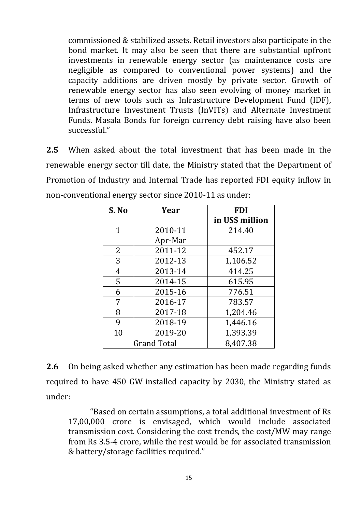commissioned & stabilized assets. Retail investors also participate in the bond market. It may also be seen that there are substantial upfront investments in renewable energy sector (as maintenance costs are negligible as compared to conventional power systems) and the capacity additions are driven mostly by private sector. Growth of renewable energy sector has also seen evolving of money market in terms of new tools such as Infrastructure Development Fund (IDF), Infrastructure Investment Trusts (InVITs) and Alternate Investment Funds. Masala Bonds for foreign currency debt raising have also been successful."

**2.5** When asked about the total investment that has been made in the renewable energy sector till date, the Ministry stated that the Department of Promotion of Industry and Internal Trade has reported FDI equity inflow in non-conventional energy sector since 2010-11 as under:

| S. No         | Year               | <b>FDI</b>      |
|---------------|--------------------|-----------------|
|               |                    | in US\$ million |
| 1             | 2010-11            | 214.40          |
|               | Apr-Mar            |                 |
| 2             | 2011-12            | 452.17          |
| 3             | 2012-13            | 1,106.52        |
| 4             | 2013-14            | 414.25          |
| 5             | 2014-15            | 615.95          |
| 6             | 2015-16            | 776.51          |
| 7             | 2016-17            | 783.57          |
| 8             | 2017-18            | 1,204.46        |
| 9             | 2018-19            | 1,446.16        |
| 10<br>2019-20 |                    | 1,393.39        |
|               | <b>Grand Total</b> | 8,407.38        |

**2.6** On being asked whether any estimation has been made regarding funds required to have 450 GW installed capacity by 2030, the Ministry stated as under:

"Based on certain assumptions, a total additional investment of Rs 17,00,000 crore is envisaged, which would include associated transmission cost. Considering the cost trends, the cost/MW may range from Rs 3.5-4 crore, while the rest would be for associated transmission & battery/storage facilities required."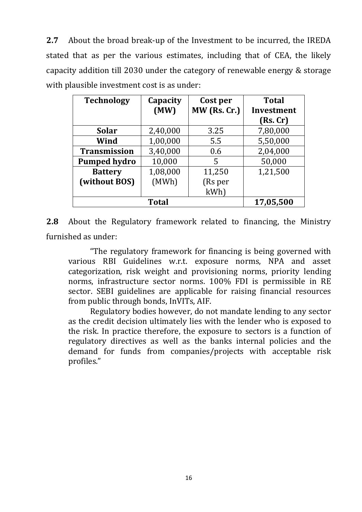**2.7** About the broad break-up of the Investment to be incurred, the IREDA stated that as per the various estimates, including that of CEA, the likely capacity addition till 2030 under the category of renewable energy & storage with plausible investment cost is as under:

| <b>Technology</b>   | Capacity  | Cost per       | <b>Total</b> |
|---------------------|-----------|----------------|--------------|
|                     | (MW)      | $MW$ (Rs. Cr.) | Investment   |
|                     |           |                | (Rs.Cr)      |
| <b>Solar</b>        | 2,40,000  | 3.25           | 7,80,000     |
| Wind                | 1,00,000  | 5.5            | 5,50,000     |
| <b>Transmission</b> | 3,40,000  | 0.6            | 2,04,000     |
| <b>Pumped hydro</b> | 10,000    | 5              | 50,000       |
| <b>Battery</b>      | 1,08,000  | 11,250         | 1,21,500     |
| (without BOS)       | (MWh)     | (Rs per        |              |
|                     |           | kWh)           |              |
|                     | 17,05,500 |                |              |

**2.8** About the Regulatory framework related to financing, the Ministry furnished as under:

"The regulatory framework for financing is being governed with various RBI Guidelines w.r.t. exposure norms, NPA and asset categorization, risk weight and provisioning norms, priority lending norms, infrastructure sector norms. 100% FDI is permissible in RE sector. SEBI guidelines are applicable for raising financial resources from public through bonds, InVITs, AIF.

Regulatory bodies however, do not mandate lending to any sector as the credit decision ultimately lies with the lender who is exposed to the risk. In practice therefore, the exposure to sectors is a function of regulatory directives as well as the banks internal policies and the demand for funds from companies/projects with acceptable risk profiles."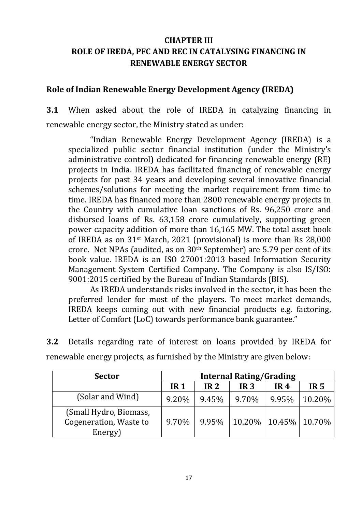## **CHAPTER III ROLE OF IREDA, PFC AND REC IN CATALYSING FINANCING IN RENEWABLE ENERGY SECTOR**

### **Role of Indian Renewable Energy Development Agency (IREDA)**

**3.1** When asked about the role of IREDA in catalyzing financing in renewable energy sector, the Ministry stated as under:

"Indian Renewable Energy Development Agency (IREDA) is a specialized public sector financial institution (under the Ministry's administrative control) dedicated for financing renewable energy (RE) projects in India. IREDA has facilitated financing of renewable energy projects for past 34 years and developing several innovative financial schemes/solutions for meeting the market requirement from time to time. IREDA has financed more than 2800 renewable energy projects in the Country with cumulative loan sanctions of Rs. 96,250 crore and disbursed loans of Rs. 63,158 crore cumulatively, supporting green power capacity addition of more than 16,165 MW. The total asset book of IREDA as on 31st March, 2021 (provisional) is more than Rs 28,000 crore. Net NPAs (audited, as on 30th September) are 5.79 per cent of its book value. IREDA is an ISO 27001:2013 based Information Security Management System Certified Company. The Company is also IS/ISO: 9001:2015 certified by the Bureau of Indian Standards (BIS).

As IREDA understands risks involved in the sector, it has been the preferred lender for most of the players. To meet market demands, IREDA keeps coming out with new financial products e.g. factoring, Letter of Comfort (LoC) towards performance bank guarantee."

**3.2** Details regarding rate of interest on loans provided by IREDA for renewable energy projects, as furnished by the Ministry are given below:

| <b>Sector</b>                                               | <b>Internal Rating/Grading</b> |                 |                 |                          |                 |  |
|-------------------------------------------------------------|--------------------------------|-----------------|-----------------|--------------------------|-----------------|--|
|                                                             | IR <sub>1</sub>                | IR <sub>2</sub> | IR <sub>3</sub> | IR <sub>4</sub>          | IR <sub>5</sub> |  |
| (Solar and Wind)                                            | 9.20%                          | 9.45%           | 9.70%           | 9.95%                    | 10.20%          |  |
| (Small Hydro, Biomass,<br>Cogeneration, Waste to<br>Energy) | 9.70%                          | 9.95%           |                 | 10.20%   10.45%   10.70% |                 |  |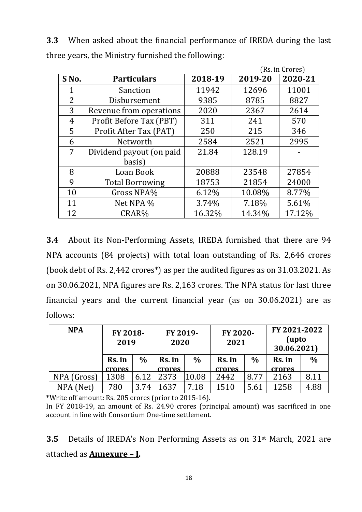**3.3** When asked about the financial performance of IREDA during the last three years, the Ministry furnished the following:

|                |                          |         |         | (Rs. in Crores) |
|----------------|--------------------------|---------|---------|-----------------|
| S No.          | <b>Particulars</b>       | 2018-19 | 2019-20 | 2020-21         |
|                | Sanction                 | 11942   | 12696   | 11001           |
| $\overline{2}$ | Disbursement             | 9385    | 8785    | 8827            |
| 3              | Revenue from operations  | 2020    | 2367    | 2614            |
| 4              | Profit Before Tax (PBT)  | 311     | 241     | 570             |
| 5              | Profit After Tax (PAT)   | 250     | 215     | 346             |
| 6              | Networth                 | 2584    | 2521    | 2995            |
| 7              | Dividend payout (on paid | 21.84   | 128.19  |                 |
|                | basis)                   |         |         |                 |
| 8              | Loan Book                | 20888   | 23548   | 27854           |
| 9              | <b>Total Borrowing</b>   | 18753   | 21854   | 24000           |
| 10             | Gross NPA%               | 6.12%   | 10.08%  | 8.77%           |
| 11             | Net NPA %                | 3.74%   | 7.18%   | 5.61%           |
| 12             | CRAR%                    | 16.32%  | 14.34%  | 17.12%          |

**3.4** About its Non-Performing Assets, IREDA furnished that there are 94 NPA accounts (84 projects) with total loan outstanding of Rs. 2,646 crores (book debt of Rs. 2,442 crores\*) as per the audited figures as on 31.03.2021. As on 30.06.2021, NPA figures are Rs. 2,163 crores. The NPA status for last three financial years and the current financial year (as on 30.06.2021) are as follows:

| <b>NPA</b>  | FY 2018-<br>2019 |               | FY 2019-<br>2020 |       | FY 2020-<br>2021 |      | FY 2021-2022<br>(upto<br>30.06.2021) |      |
|-------------|------------------|---------------|------------------|-------|------------------|------|--------------------------------------|------|
|             | Rs. in           | $\frac{0}{0}$ | Rs. in           | $\%$  | Rs. in           | $\%$ | Rs. in                               | $\%$ |
|             | crores           |               | crores           |       | crores           |      | crores                               |      |
| NPA (Gross) | 1308             | 6.12          | 2373             | 10.08 | 2442             | 8.77 | 2163                                 | 8.11 |
| NPA (Net)   | 780              | 3.74          | 1637             | 7.18  | 1510             | 5.61 | 1258                                 | 4.88 |

\*Write off amount: Rs. 205 crores (prior to 2015-16).

**3.5** Details of IREDA's Non Performing Assets as on 31st March, 2021 are attached as **Annexure – I.**

In FY 2018-19, an amount of Rs. 24.90 crores (principal amount) was sacrificed in one account in line with Consortium One-time settlement.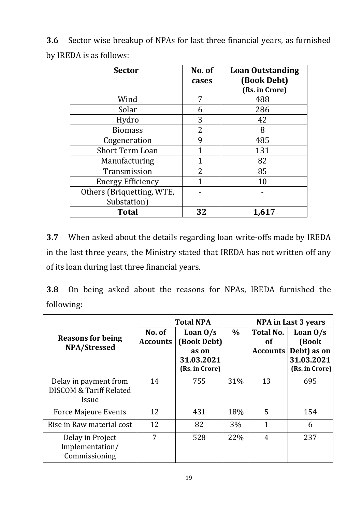**3.6** Sector wise breakup of NPAs for last three financial years, as furnished by IREDA is as follows:

| <b>Sector</b>             | No. of<br>cases | <b>Loan Outstanding</b><br>(Book Debt)<br>(Rs. in Crore) |
|---------------------------|-----------------|----------------------------------------------------------|
| Wind                      | 7               | 488                                                      |
| Solar                     | 6               | 286                                                      |
| Hydro                     | 3               | 42                                                       |
| <b>Biomass</b>            | 2               | 8                                                        |
| Cogeneration              | q               | 485                                                      |
| <b>Short Term Loan</b>    |                 | 131                                                      |
| Manufacturing             | 1               | 82                                                       |
| Transmission              | 2               | 85                                                       |
| <b>Energy Efficiency</b>  | 1               | 10                                                       |
| Others (Briquetting, WTE, |                 |                                                          |
| Substation)               |                 |                                                          |
| <b>Total</b>              | 32              | 1,617                                                    |

**3.7** When asked about the details regarding loan write-offs made by IREDA in the last three years, the Ministry stated that IREDA has not written off any of its loan during last three financial years.

**3.8** On being asked about the reasons for NPAs, IREDA furnished the following:

|                                                                      |                           | <b>Total NPA</b>                                                   | NPA in Last 3 years |                                    |                                                                    |
|----------------------------------------------------------------------|---------------------------|--------------------------------------------------------------------|---------------------|------------------------------------|--------------------------------------------------------------------|
| <b>Reasons for being</b><br><b>NPA/Stressed</b>                      | No. of<br><b>Accounts</b> | Loan $0/s$<br>(Book Debt)<br>as on<br>31.03.2021<br>(Rs. in Crore) | $\%$                | <b>Total No.</b><br>οf<br>Accounts | Loan $0/s$<br>(Book<br>Debt) as on<br>31.03.2021<br>(Rs. in Crore) |
| Delay in payment from<br><b>DISCOM &amp; Tariff Related</b><br>Issue | 14                        | 755                                                                | 31%                 | 13                                 | 695                                                                |
| <b>Force Majeure Events</b>                                          | 12                        | 431                                                                | 18%                 | 5                                  | 154                                                                |
| Rise in Raw material cost                                            | 12                        | 82                                                                 | 3%                  | $\mathbf{1}$                       | 6                                                                  |
| Delay in Project<br>Implementation/<br>Commissioning                 | 7                         | 528                                                                | 22%                 | $\overline{4}$                     | 237                                                                |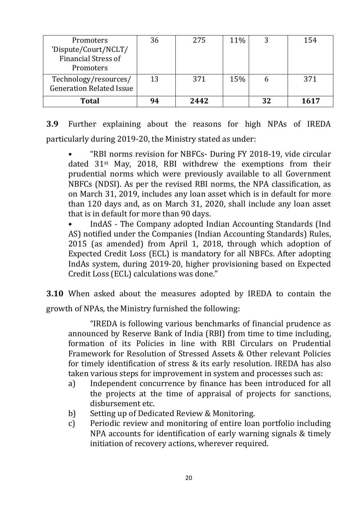| Promoters                                                | 36 | 275  | 11% |    | 154  |
|----------------------------------------------------------|----|------|-----|----|------|
| 'Dispute/Court/NCLT/<br><b>Financial Stress of</b>       |    |      |     |    |      |
|                                                          |    |      |     |    |      |
| Promoters                                                |    |      |     |    |      |
| Technology/resources/<br><b>Generation Related Issue</b> | 13 | 371  | 15% |    | 371  |
| <b>Total</b>                                             | 94 | 2442 |     | 32 | 1617 |

**3.9** Further explaining about the reasons for high NPAs of IREDA particularly during 2019-20, the Ministry stated as under:

• "RBI norms revision for NBFCs- During FY 2018-19, vide circular dated 31st May, 2018, RBI withdrew the exemptions from their prudential norms which were previously available to all Government NBFCs (NDSI). As per the revised RBI norms, the NPA classification, as on March 31, 2019, includes any loan asset which is in default for more than 120 days and, as on March 31, 2020, shall include any loan asset that is in default for more than 90 days.

• IndAS - The Company adopted Indian Accounting Standards (Ind AS) notified under the Companies (Indian Accounting Standards) Rules, 2015 (as amended) from April 1, 2018, through which adoption of Expected Credit Loss (ECL) is mandatory for all NBFCs. After adopting IndAs system, during 2019-20, higher provisioning based on Expected Credit Loss (ECL) calculations was done."

**3.10** When asked about the measures adopted by IREDA to contain the growth of NPAs, the Ministry furnished the following:

"IREDA is following various benchmarks of financial prudence as announced by Reserve Bank of India (RBI) from time to time including, formation of its Policies in line with RBI Circulars on Prudential Framework for Resolution of Stressed Assets & Other relevant Policies for timely identification of stress & its early resolution. IREDA has also taken various steps for improvement in system and processes such as:

- a) Independent concurrence by finance has been introduced for all the projects at the time of appraisal of projects for sanctions, disbursement etc.
- b) Setting up of Dedicated Review & Monitoring.
- c) Periodic review and monitoring of entire loan portfolio including NPA accounts for identification of early warning signals & timely initiation of recovery actions, wherever required.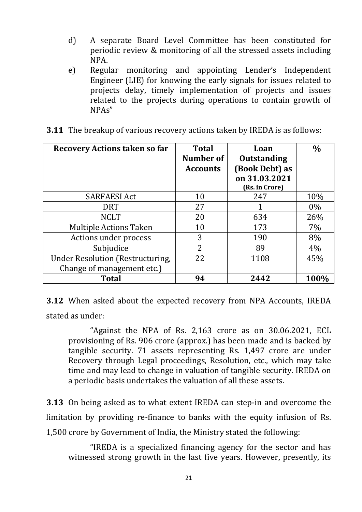- d) A separate Board Level Committee has been constituted for periodic review & monitoring of all the stressed assets including NPA.
- e) Regular monitoring and appointing Lender's Independent Engineer (LIE) for knowing the early signals for issues related to projects delay, timely implementation of projects and issues related to the projects during operations to contain growth of NPAs"

| <b>Recovery Actions taken so far</b>    | <b>Total</b><br>Number of<br><b>Accounts</b> | Loan<br><b>Outstanding</b><br>(Book Debt) as<br>on 31.03.2021 | $\frac{0}{0}$ |
|-----------------------------------------|----------------------------------------------|---------------------------------------------------------------|---------------|
|                                         |                                              | (Rs. in Crore)                                                |               |
| <b>SARFAESI Act</b>                     | 10                                           | 247                                                           | 10%           |
| <b>DRT</b>                              | 27                                           |                                                               | $0\%$         |
| <b>NCLT</b>                             | 20                                           | 634                                                           | 26%           |
| <b>Multiple Actions Taken</b>           | 10                                           | 173                                                           | 7%            |
| Actions under process                   | 3                                            | 190                                                           | 8%            |
| Subjudice                               | $\overline{2}$                               | 89                                                            | 4%            |
| <b>Under Resolution (Restructuring,</b> | 22                                           | 1108                                                          | 45%           |
| Change of management etc.)              |                                              |                                                               |               |
| <b>Total</b>                            | 94                                           | 2442                                                          | 100%          |

**3.11** The breakup of various recovery actions taken by IREDA is as follows:

**3.12** When asked about the expected recovery from NPA Accounts, IREDA stated as under:

"Against the NPA of Rs. 2,163 crore as on 30.06.2021, ECL provisioning of Rs. 906 crore (approx.) has been made and is backed by tangible security. 71 assets representing Rs. 1,497 crore are under Recovery through Legal proceedings, Resolution, etc., which may take time and may lead to change in valuation of tangible security. IREDA on a periodic basis undertakes the valuation of all these assets.

**3.13** On being asked as to what extent IREDA can step-in and overcome the limitation by providing re-finance to banks with the equity infusion of Rs. 1,500 crore by Government of India, the Ministry stated the following:

"IREDA is a specialized financing agency for the sector and has witnessed strong growth in the last five years. However, presently, its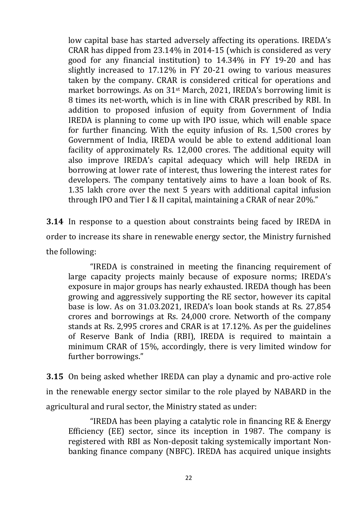low capital base has started adversely affecting its operations. IREDA's CRAR has dipped from 23.14% in 2014-15 (which is considered as very good for any financial institution) to 14.34% in FY 19-20 and has slightly increased to 17.12% in FY 20-21 owing to various measures taken by the company. CRAR is considered critical for operations and market borrowings. As on 31st March, 2021, IREDA's borrowing limit is 8 times its net-worth, which is in line with CRAR prescribed by RBI. In addition to proposed infusion of equity from Government of India IREDA is planning to come up with IPO issue, which will enable space for further financing. With the equity infusion of Rs. 1,500 crores by Government of India, IREDA would be able to extend additional loan facility of approximately Rs. 12,000 crores. The additional equity will also improve IREDA's capital adequacy which will help IREDA in borrowing at lower rate of interest, thus lowering the interest rates for developers. The company tentatively aims to have a loan book of Rs. 1.35 lakh crore over the next 5 years with additional capital infusion through IPO and Tier I & II capital, maintaining a CRAR of near 20%."

**3.14** In response to a question about constraints being faced by IREDA in order to increase its share in renewable energy sector, the Ministry furnished the following:

"IREDA is constrained in meeting the financing requirement of large capacity projects mainly because of exposure norms; IREDA's exposure in major groups has nearly exhausted. IREDA though has been growing and aggressively supporting the RE sector, however its capital base is low. As on 31.03.2021, IREDA's loan book stands at Rs. 27,854 crores and borrowings at Rs. 24,000 crore. Networth of the company stands at Rs. 2,995 crores and CRAR is at 17.12%. As per the guidelines of Reserve Bank of India (RBI), IREDA is required to maintain a minimum CRAR of 15%, accordingly, there is very limited window for further borrowings."

**3.15** On being asked whether IREDA can play a dynamic and pro-active role in the renewable energy sector similar to the role played by NABARD in the agricultural and rural sector, the Ministry stated as under:

"IREDA has been playing a catalytic role in financing RE & Energy Efficiency (EE) sector, since its inception in 1987. The company is registered with RBI as Non-deposit taking systemically important Nonbanking finance company (NBFC). IREDA has acquired unique insights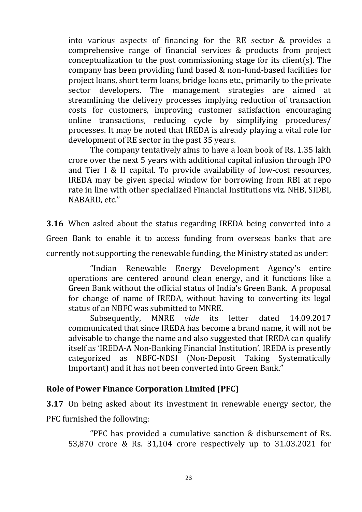into various aspects of financing for the RE sector & provides a comprehensive range of financial services & products from project conceptualization to the post commissioning stage for its client(s). The company has been providing fund based & non-fund-based facilities for project loans, short term loans, bridge loans etc., primarily to the private sector developers. The management strategies are aimed at streamlining the delivery processes implying reduction of transaction costs for customers, improving customer satisfaction encouraging online transactions, reducing cycle by simplifying procedures/ processes. It may be noted that IREDA is already playing a vital role for development of RE sector in the past 35 years.

The company tentatively aims to have a loan book of Rs. 1.35 lakh crore over the next 5 years with additional capital infusion through IPO and Tier I & II capital. To provide availability of low-cost resources, IREDA may be given special window for borrowing from RBI at repo rate in line with other specialized Financial Institutions viz. NHB, SIDBI, NABARD, etc."

**3.16** When asked about the status regarding IREDA being converted into a Green Bank to enable it to access funding from overseas banks that are currently not supporting the renewable funding, the Ministry stated as under:

"Indian Renewable Energy Development Agency's entire operations are centered around clean energy, and it functions like a Green Bank without the official status of India's Green Bank. A proposal for change of name of IREDA, without having to converting its legal status of an NBFC was submitted to MNRE.

Subsequently, MNRE *vide* its letter dated 14.09.2017 communicated that since IREDA has become a brand name, it will not be advisable to change the name and also suggested that IREDA can qualify itself as 'IREDA-A Non-Banking Financial Institution'. IREDA is presently categorized as NBFC-NDSI (Non-Deposit Taking Systematically Important) and it has not been converted into Green Bank."

## **Role of Power Finance Corporation Limited (PFC)**

**3.17** On being asked about its investment in renewable energy sector, the PFC furnished the following:

"PFC has provided a cumulative sanction & disbursement of Rs. 53,870 crore & Rs. 31,104 crore respectively up to 31.03.2021 for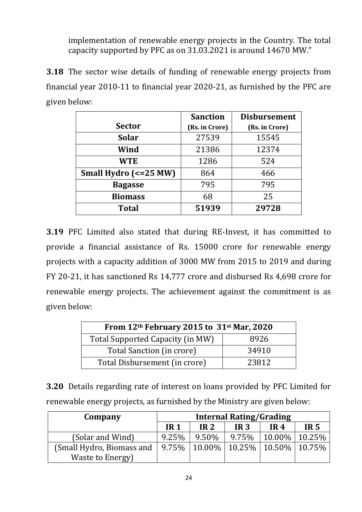implementation of renewable energy projects in the Country. The total capacity supported by PFC as on 31.03.2021 is around 14670 MW."

**3.18** The sector wise details of funding of renewable energy projects from financial year 2010-11 to financial year 2020-21, as furnished by the PFC are given below:

|                       | <b>Sanction</b> | <b>Disbursement</b> |
|-----------------------|-----------------|---------------------|
| <b>Sector</b>         | (Rs. in Crore)  | (Rs. in Crore)      |
| <b>Solar</b>          | 27539           | 15545               |
| Wind                  | 21386           | 12374               |
| <b>WTE</b>            | 1286            | 524                 |
| Small Hydro (<=25 MW) | 864             | 466                 |
| <b>Bagasse</b>        | 795             | 795                 |
| <b>Biomass</b>        | 68              | 25                  |
| <b>Total</b>          | 51939           | 29728               |

**3.19** PFC Limited also stated that during RE-Invest, it has committed to provide a financial assistance of Rs. 15000 crore for renewable energy projects with a capacity addition of 3000 MW from 2015 to 2019 and during FY 20-21, it has sanctioned Rs 14,777 crore and disbursed Rs 4,698 crore for renewable energy projects. The achievement against the commitment is as given below:

| From 12th February 2015 to 31st Mar, 2020 |       |  |  |  |
|-------------------------------------------|-------|--|--|--|
| Total Supported Capacity (in MW)          | 8926  |  |  |  |
| Total Sanction (in crore)                 | 34910 |  |  |  |
| Total Disbursement (in crore)             | 23812 |  |  |  |

**3.20** Details regarding rate of interest on loans provided by PFC Limited for renewable energy projects, as furnished by the Ministry are given below:

| Company                   | <b>Internal Rating/Grading</b> |                 |                                                             |            |                 |
|---------------------------|--------------------------------|-----------------|-------------------------------------------------------------|------------|-----------------|
|                           | <b>IR1</b>                     | IR <sub>2</sub> | IR <sub>3</sub>                                             | <b>IR4</b> | IR <sub>5</sub> |
| (Solar and Wind)          | 9.25%                          | 9.50%           | 9.75%                                                       | $10.00\%$  | 10.25%          |
| (Small Hydro, Biomass and | 9.75%                          |                 | $\vert$ 10.00% $\vert$ 10.25% $\vert$ 10.50% $\vert$ 10.75% |            |                 |
| <b>Waste to Energy</b> )  |                                |                 |                                                             |            |                 |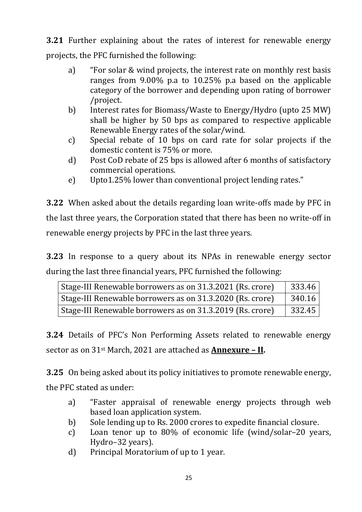**3.21** Further explaining about the rates of interest for renewable energy projects, the PFC furnished the following:

- a) "For solar & wind projects, the interest rate on monthly rest basis ranges from 9.00% p.a to 10.25% p.a based on the applicable category of the borrower and depending upon rating of borrower /project.
- b) Interest rates for Biomass/Waste to Energy/Hydro (upto 25 MW) shall be higher by 50 bps as compared to respective applicable Renewable Energy rates of the solar/wind.
- c) Special rebate of 10 bps on card rate for solar projects if the domestic content is 75% or more.
- d) Post CoD rebate of 25 bps is allowed after 6 months of satisfactory commercial operations.
- e) Upto1.25% lower than conventional project lending rates."

**3.22** When asked about the details regarding loan write-offs made by PFC in the last three years, the Corporation stated that there has been no write-off in renewable energy projects by PFC in the last three years.

**3.23** In response to a query about its NPAs in renewable energy sector during the last three financial years, PFC furnished the following:

| Stage-III Renewable borrowers as on 31.3.2021 (Rs. crore) | 333.46 |
|-----------------------------------------------------------|--------|
| Stage-III Renewable borrowers as on 31.3.2020 (Rs. crore) | 340.16 |
| Stage-III Renewable borrowers as on 31.3.2019 (Rs. crore) | 332.45 |

**3.24** Details of PFC's Non Performing Assets related to renewable energy sector as on 31st March, 2021 are attached as **Annexure – II.**

**3.25** On being asked about its policy initiatives to promote renewable energy, the PFC stated as under:

- a) "Faster appraisal of renewable energy projects through web based loan application system.
- b) Sole lending up to Rs. 2000 crores to expedite financial closure.
- c) Loan tenor up to 80% of economic life (wind/solar–20 years, Hydro–32 years).
- d) Principal Moratorium of up to 1 year.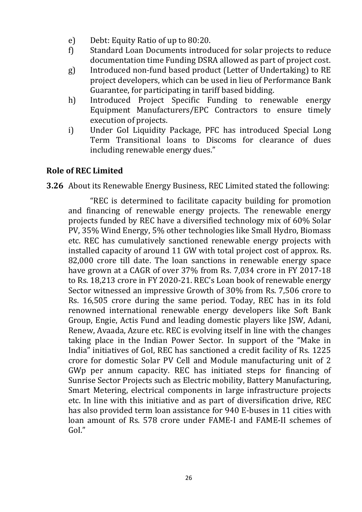- e) Debt: Equity Ratio of up to 80:20.
- f) Standard Loan Documents introduced for solar projects to reduce documentation time Funding DSRA allowed as part of project cost.
- g) Introduced non-fund based product (Letter of Undertaking) to RE project developers, which can be used in lieu of Performance Bank Guarantee, for participating in tariff based bidding.
- h) Introduced Project Specific Funding to renewable energy Equipment Manufacturers/EPC Contractors to ensure timely execution of projects.
- i) Under Gol Liquidity Package, PFC has introduced Special Long Term Transitional loans to Discoms for clearance of dues including renewable energy dues."

## **Role of REC Limited**

**3.26** About its Renewable Energy Business, REC Limited stated the following:

"REC is determined to facilitate capacity building for promotion and financing of renewable energy projects. The renewable energy projects funded by REC have a diversified technology mix of 60% Solar PV, 35% Wind Energy, 5% other technologies like Small Hydro, Biomass etc. REC has cumulatively sanctioned renewable energy projects with installed capacity of around 11 GW with total project cost of approx. Rs. 82,000 crore till date. The loan sanctions in renewable energy space have grown at a CAGR of over 37% from Rs. 7,034 crore in FY 2017-18 to Rs. 18,213 crore in FY 2020-21. REC's Loan book of renewable energy Sector witnessed an impressive Growth of 30% from Rs. 7,506 crore to Rs. 16,505 crore during the same period. Today, REC has in its fold renowned international renewable energy developers like Soft Bank Group, Engie, Actis Fund and leading domestic players like JSW, Adani, Renew, Avaada, Azure etc. REC is evolving itself in line with the changes taking place in the Indian Power Sector. In support of the "Make in India" initiatives of GoI, REC has sanctioned a credit facility of Rs. 1225 crore for domestic Solar PV Cell and Module manufacturing unit of 2 GWp per annum capacity. REC has initiated steps for financing of Sunrise Sector Projects such as Electric mobility, Battery Manufacturing, Smart Metering, electrical components in large infrastructure projects etc. In line with this initiative and as part of diversification drive, REC has also provided term loan assistance for 940 E-buses in 11 cities with loan amount of Rs. 578 crore under FAME-I and FAME-II schemes of GoI."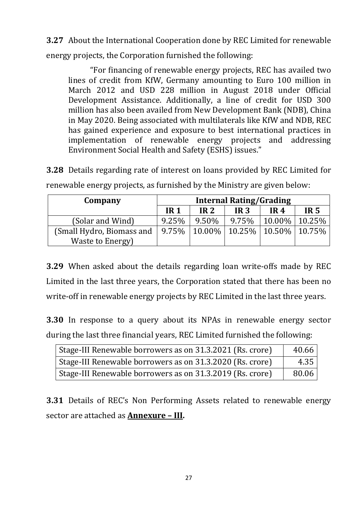**3.27** About the International Cooperation done by REC Limited for renewable energy projects, the Corporation furnished the following:

"For financing of renewable energy projects, REC has availed two lines of credit from KfW, Germany amounting to Euro 100 million in March 2012 and USD 228 million in August 2018 under Official Development Assistance. Additionally, a line of credit for USD 300 million has also been availed from New Development Bank (NDB), China in May 2020. Being associated with multilaterals like KfW and NDB, REC has gained experience and exposure to best international practices in implementation of renewable energy projects and addressing Environment Social Health and Safety (ESHS) issues."

**3.28** Details regarding rate of interest on loans provided by REC Limited for renewable energy projects, as furnished by the Ministry are given below:

| Company                   | <b>Internal Rating/Grading</b> |                 |                                      |                 |                 |
|---------------------------|--------------------------------|-----------------|--------------------------------------|-----------------|-----------------|
|                           | <b>IR1</b>                     | IR <sub>2</sub> | IR <sub>3</sub>                      | IR <sub>4</sub> | IR <sub>5</sub> |
| (Solar and Wind)          | 9.25%                          | 9.50%           | 9.75%                                | $10.00\%$       | 10.25%          |
| (Small Hydro, Biomass and | $9.75\%$                       |                 | $10.00\%$   10.25%   10.50%   10.75% |                 |                 |
| Waste to Energy)          |                                |                 |                                      |                 |                 |

**3.29** When asked about the details regarding loan write-offs made by REC Limited in the last three years, the Corporation stated that there has been no write-off in renewable energy projects by REC Limited in the last three years.

**3.30** In response to a query about its NPAs in renewable energy sector during the last three financial years, REC Limited furnished the following:

| Stage-III Renewable borrowers as on 31.3.2021 (Rs. crore) | 40.66 |
|-----------------------------------------------------------|-------|
| Stage-III Renewable borrowers as on 31.3.2020 (Rs. crore) | 4.35  |
| Stage-III Renewable borrowers as on 31.3.2019 (Rs. crore) | 80.06 |

**3.31** Details of REC's Non Performing Assets related to renewable energy sector are attached as **Annexure – III.**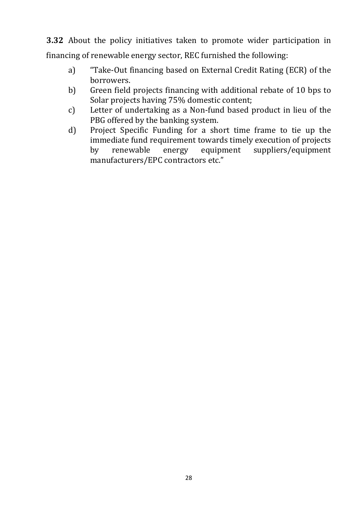**3.32** About the policy initiatives taken to promote wider participation in financing of renewable energy sector, REC furnished the following:

- a) "Take-Out financing based on External Credit Rating (ECR) of the borrowers.
- b) Green field projects financing with additional rebate of 10 bps to Solar projects having 75% domestic content;
- c) Letter of undertaking as a Non-fund based product in lieu of the PBG offered by the banking system.
- d) Project Specific Funding for a short time frame to tie up the immediate fund requirement towards timely execution of projects by renewable energy equipment suppliers/equipment manufacturers/EPC contractors etc."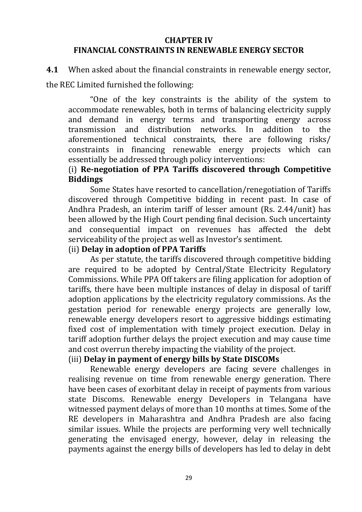#### **CHAPTER IV FINANCIAL CONSTRAINTS IN RENEWABLE ENERGY SECTOR**

**4.1** When asked about the financial constraints in renewable energy sector, the REC Limited furnished the following:

"One of the key constraints is the ability of the system to accommodate renewables, both in terms of balancing electricity supply and demand in energy terms and transporting energy across transmission and distribution networks. In addition to the aforementioned technical constraints, there are following risks/ constraints in financing renewable energy projects which can essentially be addressed through policy interventions:

## (i) **Re-negotiation of PPA Tariffs discovered through Competitive Biddings**

Some States have resorted to cancellation/renegotiation of Tariffs discovered through Competitive bidding in recent past. In case of Andhra Pradesh, an interim tariff of lesser amount (Rs. 2.44/unit) has been allowed by the High Court pending final decision. Such uncertainty and consequential impact on revenues has affected the debt serviceability of the project as well as Investor's sentiment.

#### (ii) **Delay in adoption of PPA Tariffs**

As per statute, the tariffs discovered through competitive bidding are required to be adopted by Central/State Electricity Regulatory Commissions. While PPA Off takers are filing application for adoption of tariffs, there have been multiple instances of delay in disposal of tariff adoption applications by the electricity regulatory commissions. As the gestation period for renewable energy projects are generally low, renewable energy developers resort to aggressive biddings estimating fixed cost of implementation with timely project execution. Delay in tariff adoption further delays the project execution and may cause time and cost overrun thereby impacting the viability of the project.

#### (iii) **Delay in payment of energy bills by State DISCOMs**

Renewable energy developers are facing severe challenges in realising revenue on time from renewable energy generation. There have been cases of exorbitant delay in receipt of payments from various state Discoms. Renewable energy Developers in Telangana have witnessed payment delays of more than 10 months at times. Some of the RE developers in Maharashtra and Andhra Pradesh are also facing similar issues. While the projects are performing very well technically generating the envisaged energy, however, delay in releasing the payments against the energy bills of developers has led to delay in debt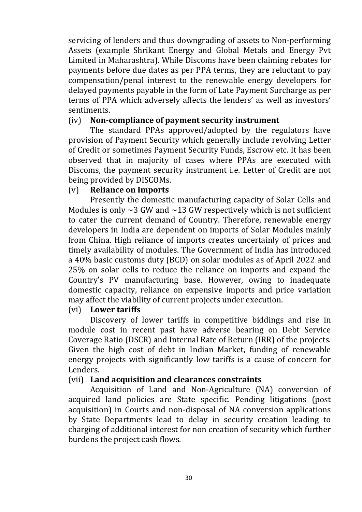servicing of lenders and thus downgrading of assets to Non-performing Assets (example Shrikant Energy and Global Metals and Energy Pvt Limited in Maharashtra). While Discoms have been claiming rebates for payments before due dates as per PPA terms, they are reluctant to pay compensation/penal interest to the renewable energy developers for delayed payments payable in the form of Late Payment Surcharge as per terms of PPA which adversely affects the lenders' as well as investors' sentiments.

#### (iv) **Non-compliance of payment security instrument**

The standard PPAs approved/adopted by the regulators have provision of Payment Security which generally include revolving Letter of Credit or sometimes Payment Security Funds, Escrow etc. It has been observed that in majority of cases where PPAs are executed with Discoms, the payment security instrument i.e. Letter of Credit are not being provided by DISCOMs.

#### (v) **Reliance on Imports**

Presently the domestic manufacturing capacity of Solar Cells and Modules is only  $\sim$ 3 GW and  $\sim$ 13 GW respectively which is not sufficient to cater the current demand of Country. Therefore, renewable energy developers in India are dependent on imports of Solar Modules mainly from China. High reliance of imports creates uncertainly of prices and timely availability of modules. The Government of India has introduced a 40% basic customs duty (BCD) on solar modules as of April 2022 and 25% on solar cells to reduce the reliance on imports and expand the Country's PV manufacturing base. However, owing to inadequate domestic capacity, reliance on expensive imports and price variation may affect the viability of current projects under execution.

#### (vi) **Lower tariffs**

Discovery of lower tariffs in competitive biddings and rise in module cost in recent past have adverse bearing on Debt Service Coverage Ratio (DSCR) and Internal Rate of Return (IRR) of the projects. Given the high cost of debt in Indian Market, funding of renewable energy projects with significantly low tariffs is a cause of concern for Lenders.

#### (vii) **Land acquisition and clearances constraints**

Acquisition of Land and Non-Agriculture (NA) conversion of acquired land policies are State specific. Pending litigations (post acquisition) in Courts and non-disposal of NA conversion applications by State Departments lead to delay in security creation leading to charging of additional interest for non creation of security which further burdens the project cash flows.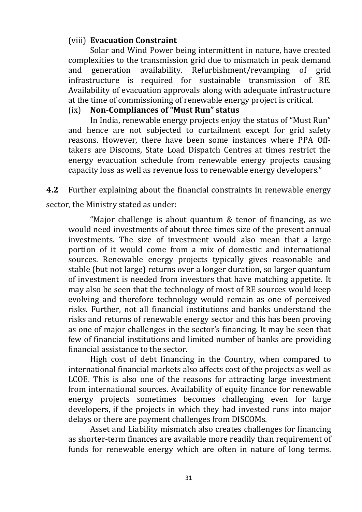## (viii) **Evacuation Constraint**

Solar and Wind Power being intermittent in nature, have created complexities to the transmission grid due to mismatch in peak demand and generation availability. Refurbishment/revamping of grid infrastructure is required for sustainable transmission of RE. Availability of evacuation approvals along with adequate infrastructure at the time of commissioning of renewable energy project is critical.

### (ix) **Non-Compliances of "Must Run" status**

In India, renewable energy projects enjoy the status of "Must Run" and hence are not subjected to curtailment except for grid safety reasons. However, there have been some instances where PPA Offtakers are Discoms, State Load Dispatch Centres at times restrict the energy evacuation schedule from renewable energy projects causing capacity loss as well as revenue loss to renewable energy developers."

**4.2** Further explaining about the financial constraints in renewable energy sector, the Ministry stated as under:

"Major challenge is about quantum & tenor of financing, as we would need investments of about three times size of the present annual investments. The size of investment would also mean that a large portion of it would come from a mix of domestic and international sources. Renewable energy projects typically gives reasonable and stable (but not large) returns over a longer duration, so larger quantum of investment is needed from investors that have matching appetite. It may also be seen that the technology of most of RE sources would keep evolving and therefore technology would remain as one of perceived risks. Further, not all financial institutions and banks understand the risks and returns of renewable energy sector and this has been proving as one of major challenges in the sector's financing. It may be seen that few of financial institutions and limited number of banks are providing financial assistance to the sector.

High cost of debt financing in the Country, when compared to international financial markets also affects cost of the projects as well as LCOE. This is also one of the reasons for attracting large investment from international sources. Availability of equity finance for renewable energy projects sometimes becomes challenging even for large developers, if the projects in which they had invested runs into major delays or there are payment challenges from DISCOMs.

Asset and Liability mismatch also creates challenges for financing as shorter-term finances are available more readily than requirement of funds for renewable energy which are often in nature of long terms.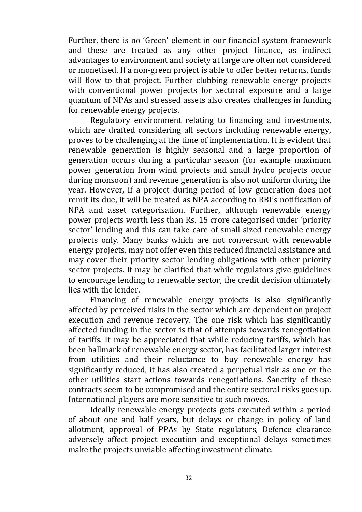Further, there is no 'Green' element in our financial system framework and these are treated as any other project finance, as indirect advantages to environment and society at large are often not considered or monetised. If a non-green project is able to offer better returns, funds will flow to that project. Further clubbing renewable energy projects with conventional power projects for sectoral exposure and a large quantum of NPAs and stressed assets also creates challenges in funding for renewable energy projects.

Regulatory environment relating to financing and investments, which are drafted considering all sectors including renewable energy, proves to be challenging at the time of implementation. It is evident that renewable generation is highly seasonal and a large proportion of generation occurs during a particular season (for example maximum power generation from wind projects and small hydro projects occur during monsoon) and revenue generation is also not uniform during the year. However, if a project during period of low generation does not remit its due, it will be treated as NPA according to RBI's notification of NPA and asset categorisation. Further, although renewable energy power projects worth less than Rs. 15 crore categorised under 'priority sector' lending and this can take care of small sized renewable energy projects only. Many banks which are not conversant with renewable energy projects, may not offer even this reduced financial assistance and may cover their priority sector lending obligations with other priority sector projects. It may be clarified that while regulators give guidelines to encourage lending to renewable sector, the credit decision ultimately lies with the lender.

Financing of renewable energy projects is also significantly affected by perceived risks in the sector which are dependent on project execution and revenue recovery. The one risk which has significantly affected funding in the sector is that of attempts towards renegotiation of tariffs. It may be appreciated that while reducing tariffs, which has been hallmark of renewable energy sector, has facilitated larger interest from utilities and their reluctance to buy renewable energy has significantly reduced, it has also created a perpetual risk as one or the other utilities start actions towards renegotiations. Sanctity of these contracts seem to be compromised and the entire sectoral risks goes up. International players are more sensitive to such moves.

Ideally renewable energy projects gets executed within a period of about one and half years, but delays or change in policy of land allotment, approval of PPAs by State regulators, Defence clearance adversely affect project execution and exceptional delays sometimes make the projects unviable affecting investment climate.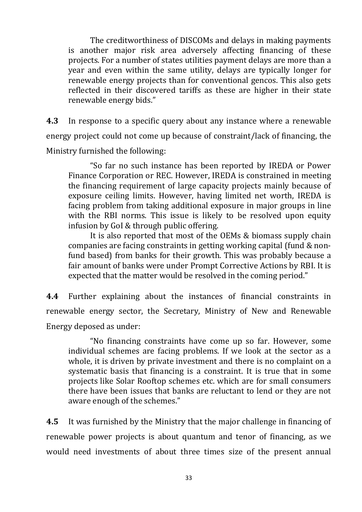The creditworthiness of DISCOMs and delays in making payments is another major risk area adversely affecting financing of these projects. For a number of states utilities payment delays are more than a year and even within the same utility, delays are typically longer for renewable energy projects than for conventional gencos. This also gets reflected in their discovered tariffs as these are higher in their state renewable energy bids."

**4.3** In response to a specific query about any instance where a renewable energy project could not come up because of constraint/lack of financing, the Ministry furnished the following:

"So far no such instance has been reported by IREDA or Power Finance Corporation or REC. However, IREDA is constrained in meeting the financing requirement of large capacity projects mainly because of exposure ceiling limits. However, having limited net worth, IREDA is facing problem from taking additional exposure in major groups in line with the RBI norms. This issue is likely to be resolved upon equity infusion by GoI & through public offering.

It is also reported that most of the OEMs & biomass supply chain companies are facing constraints in getting working capital (fund & nonfund based) from banks for their growth. This was probably because a fair amount of banks were under Prompt Corrective Actions by RBI. It is expected that the matter would be resolved in the coming period."

**4.4** Further explaining about the instances of financial constraints in renewable energy sector, the Secretary, Ministry of New and Renewable Energy deposed as under:

"No financing constraints have come up so far. However, some individual schemes are facing problems. If we look at the sector as a whole, it is driven by private investment and there is no complaint on a systematic basis that financing is a constraint. It is true that in some projects like Solar Rooftop schemes etc. which are for small consumers there have been issues that banks are reluctant to lend or they are not aware enough of the schemes."

**4.5** It was furnished by the Ministry that the major challenge in financing of renewable power projects is about quantum and tenor of financing, as we would need investments of about three times size of the present annual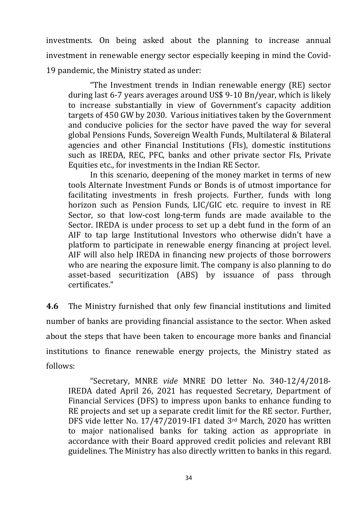investments. On being asked about the planning to increase annual investment in renewable energy sector especially keeping in mind the Covid-19 pandemic, the Ministry stated as under:

"The Investment trends in Indian renewable energy (RE) sector during last 6-7 years averages around US\$ 9-10 Bn/year, which is likely to increase substantially in view of Government's capacity addition targets of 450 GW by 2030. Various initiatives taken by the Government and conducive policies for the sector have paved the way for several global Pensions Funds, Sovereign Wealth Funds, Multilateral & Bilateral agencies and other Financial Institutions (FIs), domestic institutions such as IREDA, REC, PFC, banks and other private sector FIs, Private Equities etc., for investments in the Indian RE Sector.

In this scenario, deepening of the money market in terms of new tools Alternate Investment Funds or Bonds is of utmost importance for facilitating investments in fresh projects. Further, funds with long horizon such as Pension Funds, LIC/GIC etc. require to invest in RE Sector, so that low-cost long-term funds are made available to the Sector. IREDA is under process to set up a debt fund in the form of an AIF to tap large Institutional Investors who otherwise didn't have a platform to participate in renewable energy financing at project level. AIF will also help IREDA in financing new projects of those borrowers who are nearing the exposure limit. The company is also planning to do asset-based securitization (ABS) by issuance of pass through certificates."

**4.6** The Ministry furnished that only few financial institutions and limited number of banks are providing financial assistance to the sector. When asked about the steps that have been taken to encourage more banks and financial institutions to finance renewable energy projects, the Ministry stated as follows:

"Secretary, MNRE *vide* MNRE DO letter No. 340-12/4/2018- IREDA dated April 26, 2021 has requested Secretary, Department of Financial Services (DFS) to impress upon banks to enhance funding to RE projects and set up a separate credit limit for the RE sector. Further, DFS vide letter No. 17/47/2019-IF1 dated 3rd March, 2020 has written to major nationalised banks for taking action as appropriate in accordance with their Board approved credit policies and relevant RBI guidelines. The Ministry has also directly written to banks in this regard.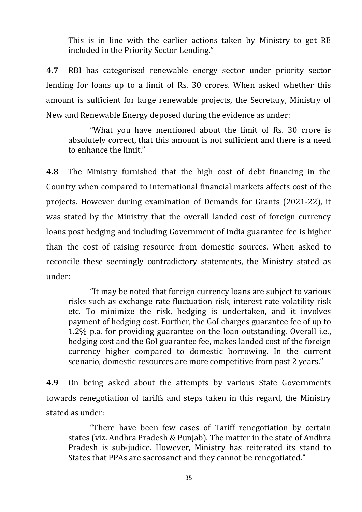This is in line with the earlier actions taken by Ministry to get RE included in the Priority Sector Lending."

**4.7** RBI has categorised renewable energy sector under priority sector lending for loans up to a limit of Rs. 30 crores. When asked whether this amount is sufficient for large renewable projects, the Secretary, Ministry of New and Renewable Energy deposed during the evidence as under:

"What you have mentioned about the limit of Rs. 30 crore is absolutely correct, that this amount is not sufficient and there is a need to enhance the limit."

**4.8** The Ministry furnished that the high cost of debt financing in the Country when compared to international financial markets affects cost of the projects. However during examination of Demands for Grants (2021-22), it was stated by the Ministry that the overall landed cost of foreign currency loans post hedging and including Government of India guarantee fee is higher than the cost of raising resource from domestic sources. When asked to reconcile these seemingly contradictory statements, the Ministry stated as under:

"It may be noted that foreign currency loans are subject to various risks such as exchange rate fluctuation risk, interest rate volatility risk etc. To minimize the risk, hedging is undertaken, and it involves payment of hedging cost. Further, the GoI charges guarantee fee of up to 1.2% p.a. for providing guarantee on the loan outstanding. Overall i.e., hedging cost and the GoI guarantee fee, makes landed cost of the foreign currency higher compared to domestic borrowing. In the current scenario, domestic resources are more competitive from past 2 years."

**4.9** On being asked about the attempts by various State Governments towards renegotiation of tariffs and steps taken in this regard, the Ministry stated as under:

"There have been few cases of Tariff renegotiation by certain states (viz. Andhra Pradesh & Punjab). The matter in the state of Andhra Pradesh is sub-judice. However, Ministry has reiterated its stand to States that PPAs are sacrosanct and they cannot be renegotiated."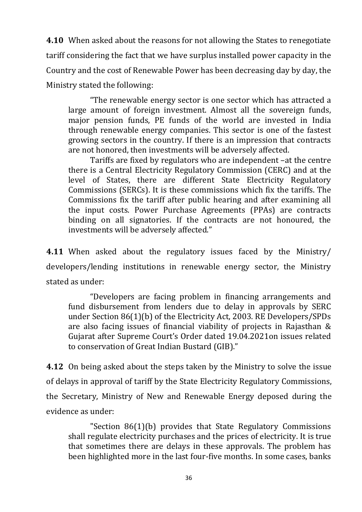**4.10** When asked about the reasons for not allowing the States to renegotiate tariff considering the fact that we have surplus installed power capacity in the Country and the cost of Renewable Power has been decreasing day by day, the Ministry stated the following:

"The renewable energy sector is one sector which has attracted a large amount of foreign investment. Almost all the sovereign funds, major pension funds, PE funds of the world are invested in India through renewable energy companies. This sector is one of the fastest growing sectors in the country. If there is an impression that contracts are not honored, then investments will be adversely affected.

Tariffs are fixed by regulators who are independent –at the centre there is a Central Electricity Regulatory Commission (CERC) and at the level of States, there are different State Electricity Regulatory Commissions (SERCs). It is these commissions which fix the tariffs. The Commissions fix the tariff after public hearing and after examining all the input costs. Power Purchase Agreements (PPAs) are contracts binding on all signatories. If the contracts are not honoured, the investments will be adversely affected."

**4.11** When asked about the regulatory issues faced by the Ministry/ developers/lending institutions in renewable energy sector, the Ministry stated as under:

"Developers are facing problem in financing arrangements and fund disbursement from lenders due to delay in approvals by SERC under Section 86(1)(b) of the Electricity Act, 2003. RE Developers/SPDs are also facing issues of financial viability of projects in Rajasthan & Gujarat after Supreme Court's Order dated 19.04.2021on issues related to conservation of Great Indian Bustard (GIB)."

**4.12** On being asked about the steps taken by the Ministry to solve the issue of delays in approval of tariff by the State Electricity Regulatory Commissions, the Secretary, Ministry of New and Renewable Energy deposed during the evidence as under:

"Section 86(1)(b) provides that State Regulatory Commissions shall regulate electricity purchases and the prices of electricity. It is true that sometimes there are delays in these approvals. The problem has been highlighted more in the last four-five months. In some cases, banks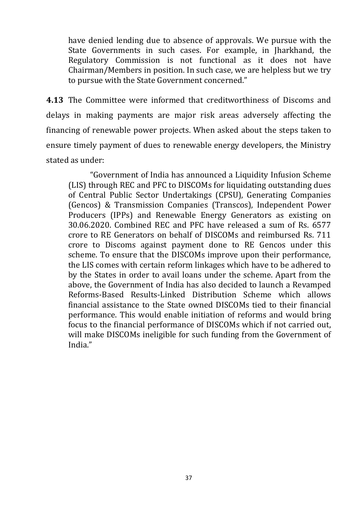have denied lending due to absence of approvals. We pursue with the State Governments in such cases. For example, in Jharkhand, the Regulatory Commission is not functional as it does not have Chairman/Members in position. In such case, we are helpless but we try to pursue with the State Government concerned."

**4.13** The Committee were informed that creditworthiness of Discoms and delays in making payments are major risk areas adversely affecting the financing of renewable power projects. When asked about the steps taken to ensure timely payment of dues to renewable energy developers, the Ministry stated as under:

"Government of India has announced a Liquidity Infusion Scheme (LIS) through REC and PFC to DISCOMs for liquidating outstanding dues of Central Public Sector Undertakings (CPSU), Generating Companies (Gencos) & Transmission Companies (Transcos), Independent Power Producers (IPPs) and Renewable Energy Generators as existing on 30.06.2020. Combined REC and PFC have released a sum of Rs. 6577 crore to RE Generators on behalf of DISCOMs and reimbursed Rs. 711 crore to Discoms against payment done to RE Gencos under this scheme. To ensure that the DISCOMs improve upon their performance, the LIS comes with certain reform linkages which have to be adhered to by the States in order to avail loans under the scheme. Apart from the above, the Government of India has also decided to launch a Revamped Reforms-Based Results-Linked Distribution Scheme which allows financial assistance to the State owned DISCOMs tied to their financial performance. This would enable initiation of reforms and would bring focus to the financial performance of DISCOMs which if not carried out, will make DISCOMs ineligible for such funding from the Government of India."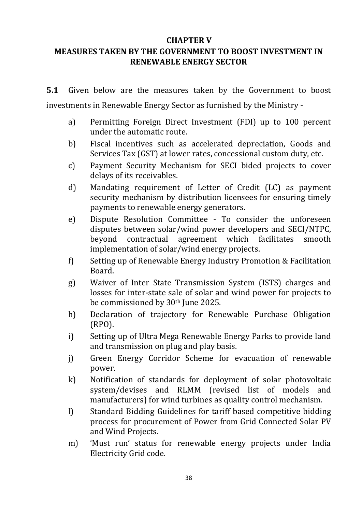### **CHAPTER V**

## **MEASURES TAKEN BY THE GOVERNMENT TO BOOST INVESTMENT IN RENEWABLE ENERGY SECTOR**

**5.1** Given below are the measures taken by the Government to boost investments in Renewable Energy Sector as furnished by the Ministry -

- a) Permitting Foreign Direct Investment (FDI) up to 100 percent under the automatic route.
- b) Fiscal incentives such as accelerated depreciation, Goods and Services Tax (GST) at lower rates, concessional custom duty, etc.
- c) Payment Security Mechanism for SECI bided projects to cover delays of its receivables.
- d) Mandating requirement of Letter of Credit (LC) as payment security mechanism by distribution licensees for ensuring timely payments to renewable energy generators.
- e) Dispute Resolution Committee To consider the unforeseen disputes between solar/wind power developers and SECI/NTPC, beyond contractual agreement which facilitates smooth implementation of solar/wind energy projects.
- f) Setting up of Renewable Energy Industry Promotion & Facilitation Board.
- g) Waiver of Inter State Transmission System (ISTS) charges and losses for inter-state sale of solar and wind power for projects to be commissioned by 30<sup>th</sup> June 2025.
- h) Declaration of trajectory for Renewable Purchase Obligation (RPO).
- i) Setting up of Ultra Mega Renewable Energy Parks to provide land and transmission on plug and play basis.
- j) Green Energy Corridor Scheme for evacuation of renewable power.
- k) Notification of standards for deployment of solar photovoltaic system/devises and RLMM (revised list of models and manufacturers) for wind turbines as quality control mechanism.
- l) Standard Bidding Guidelines for tariff based competitive bidding process for procurement of Power from Grid Connected Solar PV and Wind Projects.
- m) 'Must run' status for renewable energy projects under India Electricity Grid code.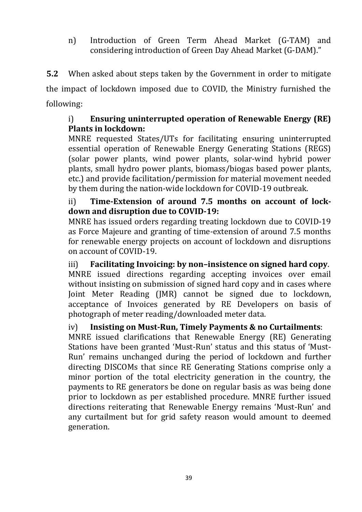n) Introduction of Green Term Ahead Market (G-TAM) and considering introduction of Green Day Ahead Market (G-DAM)."

**5.2** When asked about steps taken by the Government in order to mitigate the impact of lockdown imposed due to COVID, the Ministry furnished the following:

## i) **Ensuring uninterrupted operation of Renewable Energy (RE) Plants in lockdown:**

MNRE requested States/UTs for facilitating ensuring uninterrupted essential operation of Renewable Energy Generating Stations (REGS) (solar power plants, wind power plants, solar-wind hybrid power plants, small hydro power plants, biomass/biogas based power plants, etc.) and provide facilitation/permission for material movement needed by them during the nation-wide lockdown for COVID-19 outbreak.

## ii) **Time-Extension of around 7.5 months on account of lockdown and disruption due to COVID-19:**

MNRE has issued orders regarding treating lockdown due to COVID-19 as Force Majeure and granting of time-extension of around 7.5 months for renewable energy projects on account of lockdown and disruptions on account of COVID-19.

iii) **Facilitating Invoicing: by non–insistence on signed hard copy**. MNRE issued directions regarding accepting invoices over email without insisting on submission of signed hard copy and in cases where Joint Meter Reading (JMR) cannot be signed due to lockdown, acceptance of Invoices generated by RE Developers on basis of photograph of meter reading/downloaded meter data.

## iv) **Insisting on Must-Run, Timely Payments & no Curtailments**:

MNRE issued clarifications that Renewable Energy (RE) Generating Stations have been granted 'Must-Run' status and this status of 'Must-Run' remains unchanged during the period of lockdown and further directing DISCOMs that since RE Generating Stations comprise only a minor portion of the total electricity generation in the country, the payments to RE generators be done on regular basis as was being done prior to lockdown as per established procedure. MNRE further issued directions reiterating that Renewable Energy remains 'Must-Run' and any curtailment but for grid safety reason would amount to deemed generation.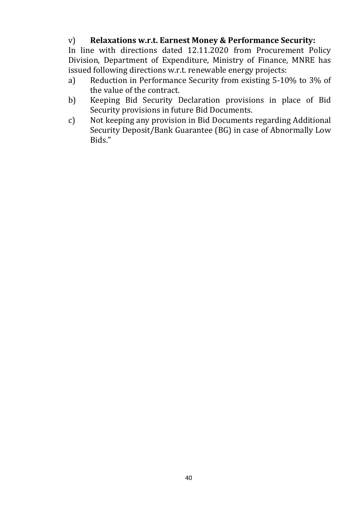## v) **Relaxations w.r.t. Earnest Money & Performance Security:**

In line with directions dated 12.11.2020 from Procurement Policy Division, Department of Expenditure, Ministry of Finance, MNRE has issued following directions w.r.t. renewable energy projects:

- a) Reduction in Performance Security from existing 5-10% to 3% of the value of the contract.
- b) Keeping Bid Security Declaration provisions in place of Bid Security provisions in future Bid Documents.
- c) Not keeping any provision in Bid Documents regarding Additional Security Deposit/Bank Guarantee (BG) in case of Abnormally Low Bids."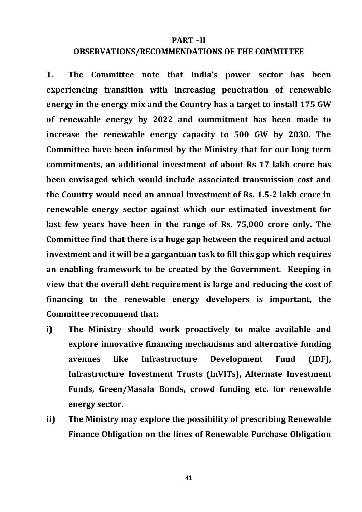#### **PART –II**

#### **OBSERVATIONS/RECOMMENDATIONS OF THE COMMITTEE**

**1. The Committee note that India's power sector has been experiencing transition with increasing penetration of renewable energy in the energy mix and the Country has a target to install 175 GW of renewable energy by 2022 and commitment has been made to increase the renewable energy capacity to 500 GW by 2030. The Committee have been informed by the Ministry that for our long term commitments, an additional investment of about Rs 17 lakh crore has been envisaged which would include associated transmission cost and the Country would need an annual investment of Rs. 1.5-2 lakh crore in renewable energy sector against which our estimated investment for last few years have been in the range of Rs. 75,000 crore only. The Committee find that there is a huge gap between the required and actual investment and it will be a gargantuan task to fill this gap which requires an enabling framework to be created by the Government. Keeping in view that the overall debt requirement is large and reducing the cost of financing to the renewable energy developers is important, the Committee recommend that:**

- **i) The Ministry should work proactively to make available and explore innovative financing mechanisms and alternative funding avenues like Infrastructure Development Fund (IDF), Infrastructure Investment Trusts (InVITs), Alternate Investment Funds, Green/Masala Bonds, crowd funding etc. for renewable energy sector.**
- **ii) The Ministry may explore the possibility of prescribing Renewable Finance Obligation on the lines of Renewable Purchase Obligation**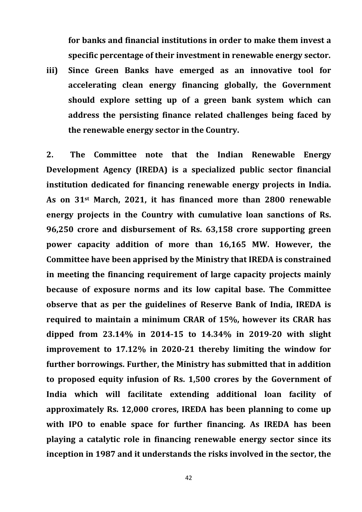**for banks and financial institutions in order to make them invest a specific percentage of their investment in renewable energy sector.**

**iii) Since Green Banks have emerged as an innovative tool for accelerating clean energy financing globally, the Government should explore setting up of a green bank system which can address the persisting finance related challenges being faced by the renewable energy sector in the Country.**

**2. The Committee note that the Indian Renewable Energy Development Agency (IREDA) is a specialized public sector financial institution dedicated for financing renewable energy projects in India. As on 31st March, 2021, it has financed more than 2800 renewable energy projects in the Country with cumulative loan sanctions of Rs. 96,250 crore and disbursement of Rs. 63,158 crore supporting green power capacity addition of more than 16,165 MW. However, the Committee have been apprised by the Ministry that IREDA is constrained in meeting the financing requirement of large capacity projects mainly because of exposure norms and its low capital base. The Committee observe that as per the guidelines of Reserve Bank of India, IREDA is required to maintain a minimum CRAR of 15%, however its CRAR has dipped from 23.14% in 2014-15 to 14.34% in 2019-20 with slight improvement to 17.12% in 2020-21 thereby limiting the window for further borrowings. Further, the Ministry has submitted that in addition to proposed equity infusion of Rs. 1,500 crores by the Government of India which will facilitate extending additional loan facility of approximately Rs. 12,000 crores, IREDA has been planning to come up with IPO to enable space for further financing. As IREDA has been playing a catalytic role in financing renewable energy sector since its inception in 1987 and it understands the risks involved in the sector, the**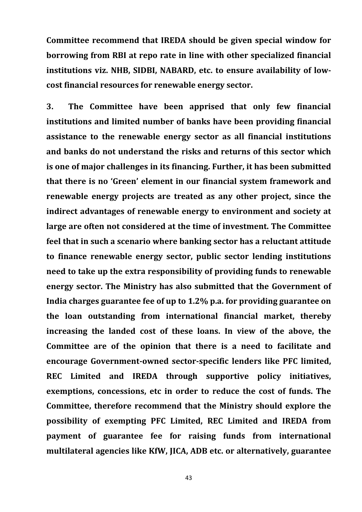**Committee recommend that IREDA should be given special window for borrowing from RBI at repo rate in line with other specialized financial institutions viz. NHB, SIDBI, NABARD, etc. to ensure availability of lowcost financial resources for renewable energy sector.**

**3. The Committee have been apprised that only few financial institutions and limited number of banks have been providing financial assistance to the renewable energy sector as all financial institutions and banks do not understand the risks and returns of this sector which is one of major challenges in its financing. Further, it has been submitted that there is no 'Green' element in our financial system framework and renewable energy projects are treated as any other project, since the indirect advantages of renewable energy to environment and society at large are often not considered at the time of investment. The Committee feel that in such a scenario where banking sector has a reluctant attitude to finance renewable energy sector, public sector lending institutions need to take up the extra responsibility of providing funds to renewable energy sector. The Ministry has also submitted that the Government of India charges guarantee fee of up to 1.2% p.a. for providing guarantee on the loan outstanding from international financial market, thereby increasing the landed cost of these loans. In view of the above, the Committee are of the opinion that there is a need to facilitate and encourage Government-owned sector-specific lenders like PFC limited, REC Limited and IREDA through supportive policy initiatives, exemptions, concessions, etc in order to reduce the cost of funds. The Committee, therefore recommend that the Ministry should explore the possibility of exempting PFC Limited, REC Limited and IREDA from payment of guarantee fee for raising funds from international multilateral agencies like KfW, JICA, ADB etc. or alternatively, guarantee**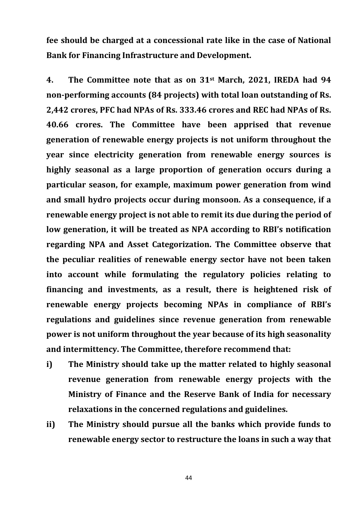**fee should be charged at a concessional rate like in the case of National Bank for Financing Infrastructure and Development.**

**4. The Committee note that as on 31st March, 2021, IREDA had 94 non-performing accounts (84 projects) with total loan outstanding of Rs. 2,442 crores, PFC had NPAs of Rs. 333.46 crores and REC had NPAs of Rs. 40.66 crores. The Committee have been apprised that revenue generation of renewable energy projects is not uniform throughout the year since electricity generation from renewable energy sources is highly seasonal as a large proportion of generation occurs during a particular season, for example, maximum power generation from wind and small hydro projects occur during monsoon. As a consequence, if a renewable energy project is not able to remit its due during the period of low generation, it will be treated as NPA according to RBI's notification regarding NPA and Asset Categorization. The Committee observe that the peculiar realities of renewable energy sector have not been taken into account while formulating the regulatory policies relating to financing and investments, as a result, there is heightened risk of renewable energy projects becoming NPAs in compliance of RBI's regulations and guidelines since revenue generation from renewable power is not uniform throughout the year because of its high seasonality and intermittency. The Committee, therefore recommend that:**

- **i) The Ministry should take up the matter related to highly seasonal revenue generation from renewable energy projects with the Ministry of Finance and the Reserve Bank of India for necessary relaxations in the concerned regulations and guidelines.**
- **ii) The Ministry should pursue all the banks which provide funds to renewable energy sector to restructure the loans in such a way that**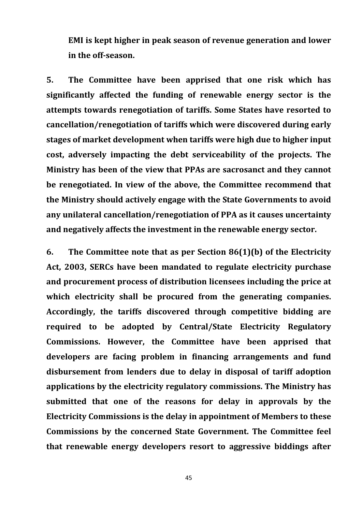**EMI is kept higher in peak season of revenue generation and lower in the off-season.**

**5. The Committee have been apprised that one risk which has significantly affected the funding of renewable energy sector is the attempts towards renegotiation of tariffs. Some States have resorted to cancellation/renegotiation of tariffs which were discovered during early stages of market development when tariffs were high due to higher input cost, adversely impacting the debt serviceability of the projects. The Ministry has been of the view that PPAs are sacrosanct and they cannot be renegotiated. In view of the above, the Committee recommend that the Ministry should actively engage with the State Governments to avoid any unilateral cancellation/renegotiation of PPA as it causes uncertainty and negatively affects the investment in the renewable energy sector.**

**6. The Committee note that as per Section 86(1)(b) of the Electricity Act, 2003, SERCs have been mandated to regulate electricity purchase and procurement process of distribution licensees including the price at which electricity shall be procured from the generating companies. Accordingly, the tariffs discovered through competitive bidding are required to be adopted by Central/State Electricity Regulatory Commissions. However, the Committee have been apprised that developers are facing problem in financing arrangements and fund disbursement from lenders due to delay in disposal of tariff adoption applications by the electricity regulatory commissions. The Ministry has submitted that one of the reasons for delay in approvals by the Electricity Commissions is the delay in appointment of Members to these Commissions by the concerned State Government. The Committee feel that renewable energy developers resort to aggressive biddings after**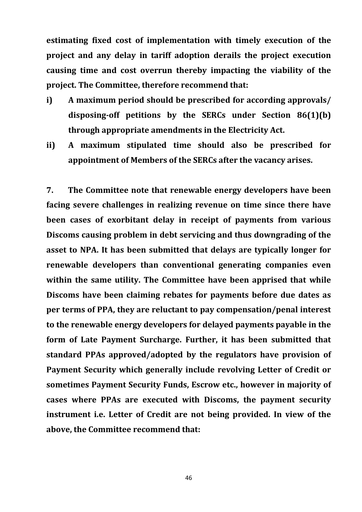**estimating fixed cost of implementation with timely execution of the project and any delay in tariff adoption derails the project execution causing time and cost overrun thereby impacting the viability of the project. The Committee, therefore recommend that:**

- **i) A maximum period should be prescribed for according approvals/ disposing-off petitions by the SERCs under Section 86(1)(b) through appropriate amendments in the Electricity Act.**
- **ii) A maximum stipulated time should also be prescribed for appointment of Members of the SERCs after the vacancy arises.**

**7. The Committee note that renewable energy developers have been facing severe challenges in realizing revenue on time since there have been cases of exorbitant delay in receipt of payments from various Discoms causing problem in debt servicing and thus downgrading of the asset to NPA. It has been submitted that delays are typically longer for renewable developers than conventional generating companies even within the same utility. The Committee have been apprised that while Discoms have been claiming rebates for payments before due dates as per terms of PPA, they are reluctant to pay compensation/penal interest to the renewable energy developers for delayed payments payable in the form of Late Payment Surcharge. Further, it has been submitted that standard PPAs approved/adopted by the regulators have provision of Payment Security which generally include revolving Letter of Credit or sometimes Payment Security Funds, Escrow etc., however in majority of cases where PPAs are executed with Discoms, the payment security instrument i.e. Letter of Credit are not being provided. In view of the above, the Committee recommend that:**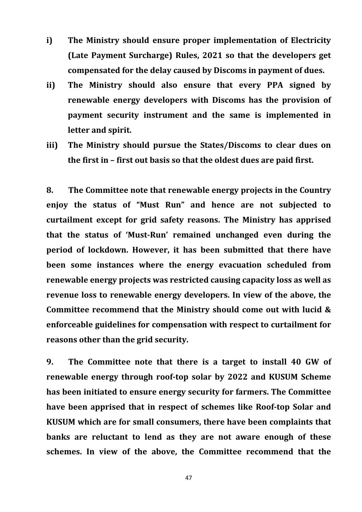- **i) The Ministry should ensure proper implementation of Electricity (Late Payment Surcharge) Rules, 2021 so that the developers get compensated for the delay caused by Discoms in payment of dues.**
- **ii) The Ministry should also ensure that every PPA signed by renewable energy developers with Discoms has the provision of payment security instrument and the same is implemented in letter and spirit.**
- **iii) The Ministry should pursue the States/Discoms to clear dues on the first in – first out basis so that the oldest dues are paid first.**

**8. The Committee note that renewable energy projects in the Country enjoy the status of "Must Run" and hence are not subjected to curtailment except for grid safety reasons. The Ministry has apprised that the status of 'Must-Run' remained unchanged even during the period of lockdown. However, it has been submitted that there have been some instances where the energy evacuation scheduled from renewable energy projects was restricted causing capacity loss as well as revenue loss to renewable energy developers. In view of the above, the Committee recommend that the Ministry should come out with lucid & enforceable guidelines for compensation with respect to curtailment for reasons other than the grid security.** 

**9. The Committee note that there is a target to install 40 GW of renewable energy through roof-top solar by 2022 and KUSUM Scheme has been initiated to ensure energy security for farmers. The Committee have been apprised that in respect of schemes like Roof-top Solar and KUSUM which are for small consumers, there have been complaints that banks are reluctant to lend as they are not aware enough of these schemes. In view of the above, the Committee recommend that the**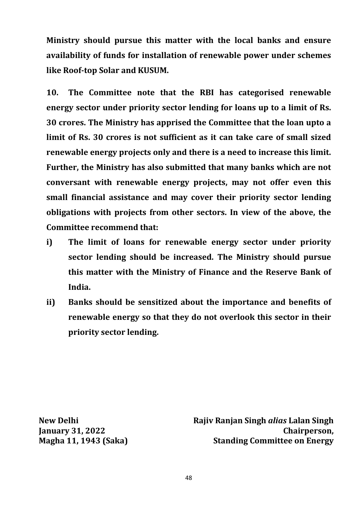**Ministry should pursue this matter with the local banks and ensure availability of funds for installation of renewable power under schemes like Roof-top Solar and KUSUM.**

**10. The Committee note that the RBI has categorised renewable energy sector under priority sector lending for loans up to a limit of Rs. 30 crores. The Ministry has apprised the Committee that the loan upto a limit of Rs. 30 crores is not sufficient as it can take care of small sized renewable energy projects only and there is a need to increase this limit. Further, the Ministry has also submitted that many banks which are not conversant with renewable energy projects, may not offer even this small financial assistance and may cover their priority sector lending obligations with projects from other sectors. In view of the above, the Committee recommend that:**

- **i) The limit of loans for renewable energy sector under priority sector lending should be increased. The Ministry should pursue this matter with the Ministry of Finance and the Reserve Bank of India.**
- **ii) Banks should be sensitized about the importance and benefits of renewable energy so that they do not overlook this sector in their priority sector lending.**

**New Delhi January 31, 2022 Magha 11, 1943 (Saka)**  **Rajiv Ranjan Singh** *alias* **Lalan Singh Chairperson, Standing Committee on Energy**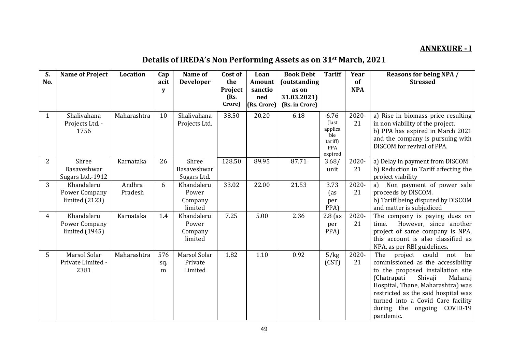## **ANNEXURE - I**

# **Details of IREDA's Non Performing Assets as on 31st March, 2021**

| S.<br>No. | <b>Name of Project</b>                          | Location          | Cap<br>acit<br>y | Name of<br><b>Developer</b>               | Cost of<br>the<br><b>Project</b><br>(Rs.<br>Crore) | Loan<br>Amount<br>sanctio<br>ned<br>(Rs. Crore) | <b>Book Debt</b><br>(outstanding<br>as on<br>31.03.2021)<br>(Rs. in Crore) | <b>Tariff</b>                                                       | Year<br>of<br><b>NPA</b> | <b>Reasons for being NPA /</b><br><b>Stressed</b>                                                                                                                                                                                                                                                                |
|-----------|-------------------------------------------------|-------------------|------------------|-------------------------------------------|----------------------------------------------------|-------------------------------------------------|----------------------------------------------------------------------------|---------------------------------------------------------------------|--------------------------|------------------------------------------------------------------------------------------------------------------------------------------------------------------------------------------------------------------------------------------------------------------------------------------------------------------|
| 1         | Shalivahana<br>Projects Ltd. -<br>1756          | Maharashtra       | 10               | Shalivahana<br>Projects Ltd.              | 38.50                                              | 20.20                                           | 6.18                                                                       | 6.76<br>(last<br>applica<br>ble<br>tariff)<br><b>PPA</b><br>expired | 2020-<br>21              | a) Rise in biomass price resulting<br>in non viability of the project.<br>b) PPA has expired in March 2021<br>and the company is pursuing with<br>DISCOM for revival of PPA.                                                                                                                                     |
| 2         | Shree<br>Basaveshwar<br>Sugars Ltd.-1912        | Karnataka         | 26               | Shree<br>Basaveshwar<br>Sugars Ltd.       | 128.50                                             | 89.95                                           | 87.71                                                                      | 3.68/<br>unit                                                       | 2020-<br>21              | a) Delay in payment from DISCOM<br>b) Reduction in Tariff affecting the<br>project viability                                                                                                                                                                                                                     |
| 3         | Khandaleru<br>Power Company<br>limited $(2123)$ | Andhra<br>Pradesh | 6                | Khandaleru<br>Power<br>Company<br>limited | 33.02                                              | 22.00                                           | 21.53                                                                      | 3.73<br>(as<br>per<br>PPA)                                          | 2020-<br>21              | Non payment of power sale<br>a)<br>proceeds by DISCOM.<br>b) Tariff being disputed by DISCOM<br>and matter is subjudiced                                                                                                                                                                                         |
| 4         | Khandaleru<br>Power Company<br>limited (1945)   | Karnataka         | 1.4              | Khandaleru<br>Power<br>Company<br>limited | 7.25                                               | 5.00                                            | 2.36                                                                       | $2.8$ (as<br>per<br>PPA)                                            | 2020-<br>21              | The company is paying dues on<br>However, since another<br>time.<br>project of same company is NPA,<br>this account is also classified as<br>NPA, as per RBI guidelines.                                                                                                                                         |
| 5         | Marsol Solar<br>Private Limited -<br>2381       | Maharashtra       | 576<br>sq.<br>m  | Marsol Solar<br>Private<br>Limited        | 1.82                                               | 1.10                                            | 0.92                                                                       | 5/kg<br>(CST)                                                       | 2020-<br>21              | The<br>project could not<br>be<br>commissioned as the accessibility<br>to the proposed installation site<br>(Chatrapati<br>Shivaji<br>Maharaj<br>Hospital, Thane, Maharashtra) was<br>restricted as the said hospital was<br>turned into a Covid Care facility<br>during the<br>ongoing<br>COVID-19<br>pandemic. |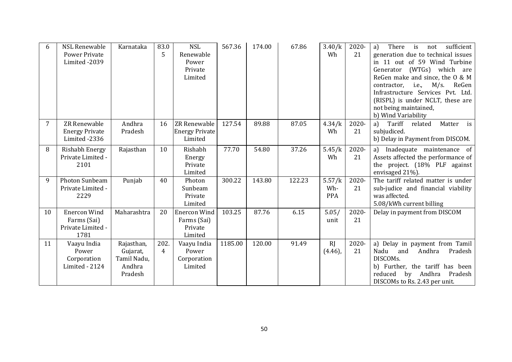| 6  | <b>NSL Renewable</b><br><b>Power Private</b><br>Limited -2039   | Karnataka                                                  | 83.0<br>5              | <b>NSL</b><br>Renewable<br>Power<br>Private<br>Limited   | 567.36  | 174.00 | 67.86  | 3.40/k<br>Wh                | 2020-<br>21 | sufficient<br>There<br>is<br>a)<br>not<br>generation due to technical issues<br>in 11 out of 59 Wind Turbine<br>Generator (WTGs) which are<br>ReGen make and since, the 0 & M<br>contractor, <i>i.e.</i> ,<br>$M/s$ .<br>ReGen<br>Infrastructure Services Pvt. Ltd.<br>(RISPL) is under NCLT, these are<br>not being maintained,<br>b) Wind Variability |
|----|-----------------------------------------------------------------|------------------------------------------------------------|------------------------|----------------------------------------------------------|---------|--------|--------|-----------------------------|-------------|---------------------------------------------------------------------------------------------------------------------------------------------------------------------------------------------------------------------------------------------------------------------------------------------------------------------------------------------------------|
| 7  | <b>ZR Renewable</b><br><b>Energy Private</b><br>Limited -2336   | Andhra<br>Pradesh                                          | 16                     | ZR Renewable<br><b>Energy Private</b><br>Limited         | 127.54  | 89.88  | 87.05  | 4.34/k<br>Wh                | 2020-<br>21 | Tariff<br>is<br>a)<br>Matter<br>related<br>subjudiced.<br>b) Delay in Payment from DISCOM.                                                                                                                                                                                                                                                              |
| 8  | Rishabh Energy<br>Private Limited -<br>2101                     | Rajasthan                                                  | 10                     | Rishabh<br>Energy<br>Private<br>Limited                  | 77.70   | 54.80  | 37.26  | 5.45/k<br>Wh                | 2020-<br>21 | a) Inadequate maintenance of<br>Assets affected the performance of<br>the project. (18% PLF against<br>envisaged 21%).                                                                                                                                                                                                                                  |
| 9  | Photon Sunbeam<br>Private Limited -<br>2229                     | Punjab                                                     | 40                     | Photon<br>Sunbeam<br>Private<br>Limited                  | 300.22  | 143.80 | 122.23 | 5.57/k<br>Wh-<br><b>PPA</b> | 2020-<br>21 | The tariff related matter is under<br>sub-judice and financial viability<br>was affected.<br>5.08/kWh current billing                                                                                                                                                                                                                                   |
| 10 | <b>Enercon Wind</b><br>Farms (Sai)<br>Private Limited -<br>1781 | Maharashtra                                                | 20                     | <b>Enercon Wind</b><br>Farms (Sai)<br>Private<br>Limited | 103.25  | 87.76  | 6.15   | 5.05/<br>unit               | 2020-<br>21 | Delay in payment from DISCOM                                                                                                                                                                                                                                                                                                                            |
| 11 | Vaayu India<br>Power<br>Corporation<br>Limited - 2124           | Rajasthan,<br>Gujarat,<br>Tamil Nadu,<br>Andhra<br>Pradesh | 202.<br>$\overline{4}$ | Vaayu India<br>Power<br>Corporation<br>Limited           | 1185.00 | 120.00 | 91.49  | RI<br>$(4.46)$ ,            | 2020-<br>21 | a) Delay in payment from Tamil<br>Nadu<br>Andhra<br>Pradesh<br>and<br>DISCOMs.<br>b) Further, the tariff has been<br>by Andhra<br>Pradesh<br>reduced<br>DISCOMs to Rs. 2.43 per unit.                                                                                                                                                                   |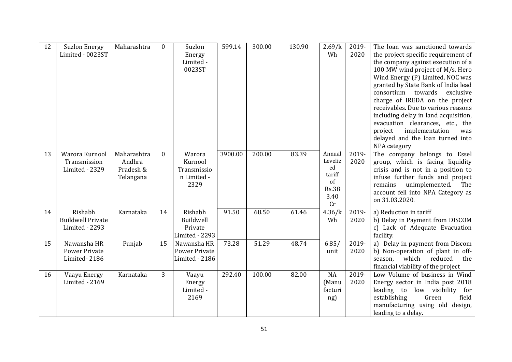| 12 | <b>Suzlon Energy</b><br>Limited - 0023ST              | Maharashtra                                     | $\Omega$ | Suzlon<br>Energy<br>Limited -<br>0023ST                 | 599.14  | 300.00 | 130.90 | 2.69/k<br>Wh                                                          | 2019-<br>2020 | The loan was sanctioned towards<br>the project specific requirement of<br>the company against execution of a<br>100 MW wind project of M/s. Hero<br>Wind Energy (P) Limited. NOC was<br>granted by State Bank of India lead<br>consortium towards<br>exclusive<br>charge of IREDA on the project<br>receivables. Due to various reasons<br>including delay in land acquisition,<br>evacuation clearances, etc., the<br>project<br>implementation<br>was<br>delayed and the loan turned into<br>NPA category |
|----|-------------------------------------------------------|-------------------------------------------------|----------|---------------------------------------------------------|---------|--------|--------|-----------------------------------------------------------------------|---------------|-------------------------------------------------------------------------------------------------------------------------------------------------------------------------------------------------------------------------------------------------------------------------------------------------------------------------------------------------------------------------------------------------------------------------------------------------------------------------------------------------------------|
| 13 | Warora Kurnool<br>Transmission<br>Limited - 2329      | Maharashtra<br>Andhra<br>Pradesh &<br>Telangana | $\Omega$ | Warora<br>Kurnool<br>Transmissio<br>n Limited -<br>2329 | 3900.00 | 200.00 | 83.39  | Annual<br>Leveliz<br>ed<br>tariff<br>of<br><b>Rs.38</b><br>3.40<br>Cr | 2019-<br>2020 | The company belongs to Essel<br>group, which is facing liquidity<br>crisis and is not in a position to<br>infuse further funds and project<br>unimplemented.<br>remains<br>The<br>account fell into NPA Category as<br>on 31.03.2020.                                                                                                                                                                                                                                                                       |
| 14 | Rishabh<br><b>Buildwell Private</b><br>Limited - 2293 | Karnataka                                       | 14       | Rishabh<br>Buildwell<br>Private<br>Limited - 2293       | 91.50   | 68.50  | 61.46  | 4.36/k<br>Wh                                                          | 2019-<br>2020 | a) Reduction in tariff<br>b) Delay in Payment from DISCOM<br>c) Lack of Adequate Evacuation<br>facility.                                                                                                                                                                                                                                                                                                                                                                                                    |
| 15 | Nawansha HR<br><b>Power Private</b><br>Limited-2186   | Punjab                                          | 15       | Nawansha HR<br><b>Power Private</b><br>Limited - 2186   | 73.28   | 51.29  | 48.74  | 6.85/<br>unit                                                         | 2019-<br>2020 | a) Delay in payment from Discom<br>b) Non-operation of plant in off-<br>which<br>reduced<br>the<br>season,<br>financial viability of the project                                                                                                                                                                                                                                                                                                                                                            |
| 16 | Vaayu Energy<br>Limited - 2169                        | Karnataka                                       | 3        | Vaayu<br>Energy<br>Limited -<br>2169                    | 292.40  | 100.00 | 82.00  | NA<br>(Manu<br>facturi<br>ng)                                         | 2019-<br>2020 | Low Volume of business in Wind<br>Energy sector in India post 2018<br>leading to low visibility<br>for<br>establishing<br>Green<br>field<br>manufacturing using old design,<br>leading to a delay.                                                                                                                                                                                                                                                                                                          |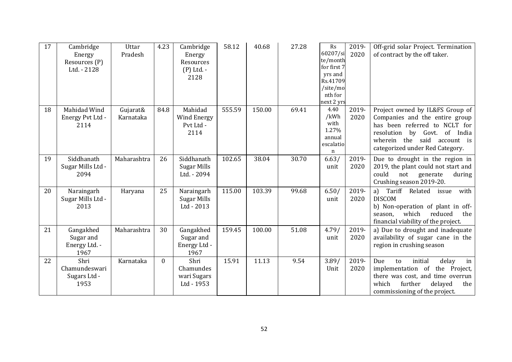| 17 | Cambridge<br>Energy<br>Resources (P)<br>Ltd. - 2128 | Uttar<br>Pradesh      | 4.23     | Cambridge<br>Energy<br>Resources<br>$(P)$ Ltd. -<br>2128 | 58.12  | 40.68  | 27.28 | Rs<br>60207/si<br>te/month<br>for first 7<br>yrs and<br>Rs.41709<br>/site/mo<br>nth for<br>next 2 yrs | 2019-<br>2020 | Off-grid solar Project. Termination<br>of contract by the off taker.                                                                                                                                 |
|----|-----------------------------------------------------|-----------------------|----------|----------------------------------------------------------|--------|--------|-------|-------------------------------------------------------------------------------------------------------|---------------|------------------------------------------------------------------------------------------------------------------------------------------------------------------------------------------------------|
| 18 | Mahidad Wind<br>Energy Pvt Ltd -<br>2114            | Gujarat&<br>Karnataka | 84.8     | Mahidad<br>Wind Energy<br>Pvt Ltd -<br>2114              | 555.59 | 150.00 | 69.41 | 4.40<br>/kWh<br>with<br>1.27%<br>annual<br>escalatio<br>$\mathbf n$                                   | 2019-<br>2020 | Project owned by IL&FS Group of<br>Companies and the entire group<br>has been referred to NCLT for<br>resolution by Govt. of India<br>wherein the said account is<br>categorized under Red Category. |
| 19 | Siddhanath<br>Sugar Mills Ltd -<br>2094             | Maharashtra           | 26       | Siddhanath<br>Sugar Mills<br>Ltd. - 2094                 | 102.65 | 38.04  | 30.70 | 6.63/<br>unit                                                                                         | 2019-<br>2020 | Due to drought in the region in<br>2019, the plant could not start and<br>could<br>not<br>generate<br>during<br>Crushing season 2019-20.                                                             |
| 20 | Naraingarh<br>Sugar Mills Ltd -<br>2013             | Haryana               | 25       | Naraingarh<br>Sugar Mills<br>Ltd - 2013                  | 115.00 | 103.39 | 99.68 | 6.50/<br>unit                                                                                         | 2019-<br>2020 | Tariff Related<br>a)<br>with<br>issue<br><b>DISCOM</b><br>b) Non-operation of plant in off-<br>which<br>reduced<br>the<br>season,<br>financial viability of the project.                             |
| 21 | Gangakhed<br>Sugar and<br>Energy Ltd. -<br>1967     | Maharashtra           | 30       | Gangakhed<br>Sugar and<br>Energy Ltd -<br>1967           | 159.45 | 100.00 | 51.08 | 4.79/<br>unit                                                                                         | 2019-<br>2020 | a) Due to drought and inadequate<br>availability of sugar cane in the<br>region in crushing season                                                                                                   |
| 22 | Shri<br>Chamundeswari<br>Sugars Ltd -<br>1953       | Karnataka             | $\Omega$ | Shri<br>Chamundes<br>wari Sugars<br>Ltd - 1953           | 15.91  | 11.13  | 9.54  | 3.89/<br>Unit                                                                                         | 2019-<br>2020 | Due<br>initial<br>to<br>delay<br>in<br>implementation of the Project,<br>there was cost, and time overrun<br>further<br>which<br>delayed<br>the<br>commissioning of the project.                     |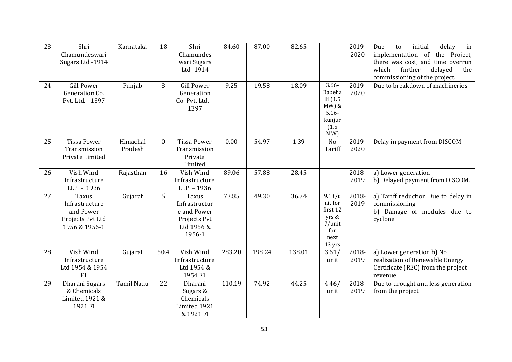| 23 | Shri<br>Chamundeswari<br>Sugars Ltd -1914                                 | Karnataka           | 18           | Shri<br>Chamundes<br>wari Sugars<br>Ltd -1914                                 | 84.60  | 87.00  | 82.65  |                                                                                   | 2019-<br>2020 | delay<br>Due<br>initial<br>in<br>to<br>implementation of<br>the Project,<br>there was cost, and time overrun<br>further<br>delayed<br>which<br>the<br>commissioning of the project. |
|----|---------------------------------------------------------------------------|---------------------|--------------|-------------------------------------------------------------------------------|--------|--------|--------|-----------------------------------------------------------------------------------|---------------|-------------------------------------------------------------------------------------------------------------------------------------------------------------------------------------|
| 24 | <b>Gill Power</b><br>Generation Co.<br>Pvt. Ltd. - 1397                   | Punjab              | 3            | <b>Gill Power</b><br>Generation<br>Co. Pvt. Ltd. -<br>1397                    | 9.25   | 19.58  | 18.09  | $3.66 -$<br>Babeha<br>Ili(1.5)<br>$MW$ ) $&$<br>$5.16 -$<br>kunjur<br>(1.5)<br>MW | 2019-<br>2020 | Due to breakdown of machineries                                                                                                                                                     |
| 25 | <b>Tissa Power</b><br>Transmission<br>Private Limited                     | Himachal<br>Pradesh | $\mathbf{0}$ | <b>Tissa Power</b><br>Transmission<br>Private<br>Limited                      | 0.00   | 54.97  | 1.39   | No<br>Tariff                                                                      | 2019-<br>2020 | Delay in payment from DISCOM                                                                                                                                                        |
| 26 | Vish Wind<br>Infrastructure<br>LLP - 1936                                 | Rajasthan           | 16           | Vish Wind<br>Infrastructure<br>LLP - 1936                                     | 89.06  | 57.88  | 28.45  | $\overline{\phantom{a}}$                                                          | 2018-<br>2019 | a) Lower generation<br>b) Delayed payment from DISCOM.                                                                                                                              |
| 27 | Taxus<br>Infrastructure<br>and Power<br>Projects Pvt Ltd<br>1956 & 1956-1 | Gujarat             | 5            | Taxus<br>Infrastructur<br>e and Power<br>Projects Pvt<br>Ltd 1956 &<br>1956-1 | 73.85  | 49.30  | 36.74  | 9.13/u<br>nit for<br>first 12<br>yrs &<br>7/unit<br>for<br>next<br>13 yrs         | 2018-<br>2019 | a) Tariff reduction Due to delay in<br>commissioning.<br>b) Damage of modules due to<br>cyclone.                                                                                    |
| 28 | Vish Wind<br>Infrastructure<br>Ltd 1954 & 1954<br>F1                      | Gujarat             | 50.4         | Vish Wind<br>Infrastructure<br>Ltd 1954 &<br>1954 F1                          | 283.20 | 198.24 | 138.01 | 3.61/<br>unit                                                                     | 2018-<br>2019 | a) Lower generation b) No<br>realization of Renewable Energy<br>Certificate (REC) from the project<br>revenue                                                                       |
| 29 | Dharani Sugars<br>& Chemicals<br>Limited 1921 &<br>1921 FI                | Tamil Nadu          | 22           | Dharani<br>Sugars &<br>Chemicals<br>Limited 1921<br>& 1921 FI                 | 110.19 | 74.92  | 44.25  | 4.46/<br>unit                                                                     | 2018-<br>2019 | Due to drought and less generation<br>from the project                                                                                                                              |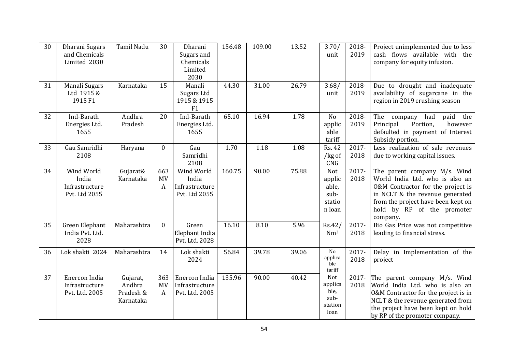| 30 | Dharani Sugars<br>and Chemicals<br>Limited 2030        | Tamil Nadu                                   | 30                    | Dharani<br>Sugars and<br>Chemicals<br>Limited<br>2030  | 156.48 | 109.00 | 13.52 | 3.70/<br>unit                                      | 2018-<br>2019 | Project unimplemented due to less<br>cash flows available with the<br>company for equity infusion.                                                                                                                      |
|----|--------------------------------------------------------|----------------------------------------------|-----------------------|--------------------------------------------------------|--------|--------|-------|----------------------------------------------------|---------------|-------------------------------------------------------------------------------------------------------------------------------------------------------------------------------------------------------------------------|
| 31 | Manali Sugars<br>Ltd 1915 &<br>1915 F1                 | Karnataka                                    | 15                    | Manali<br>Sugars Ltd<br>1915 & 1915<br>F1              | 44.30  | 31.00  | 26.79 | 3.68/<br>unit                                      | 2018-<br>2019 | Due to drought and inadequate<br>availability of sugarcane in the<br>region in 2019 crushing season                                                                                                                     |
| 32 | Ind-Barath<br>Energies Ltd.<br>1655                    | Andhra<br>Pradesh                            | 20                    | Ind-Barath<br>Energies Ltd.<br>1655                    | 65.10  | 16.94  | 1.78  | No<br>applic<br>able<br>tariff                     | 2018-<br>2019 | The<br>had<br>paid<br>company<br>the<br>Portion,<br>however<br>Principal<br>defaulted in payment of Interest<br>Subsidy portion.                                                                                        |
| 33 | Gau Samridhi<br>2108                                   | Haryana                                      | $\mathbf{0}$          | Gau<br>Samridhi<br>2108                                | 1.70   | 1.18   | 1.08  | <b>Rs. 42</b><br>/ $kg$ of<br>CNG                  | 2017-<br>2018 | Less realization of sale revenues<br>due to working capital issues.                                                                                                                                                     |
| 34 | Wind World<br>India<br>Infrastructure<br>Pvt. Ltd 2055 | Gujarat&<br>Karnataka                        | 663<br><b>MV</b><br>A | Wind World<br>India<br>Infrastructure<br>Pvt. Ltd 2055 | 160.75 | 90.00  | 75.88 | Not<br>applic<br>able,<br>sub-<br>statio<br>n loan | 2017-<br>2018 | The parent company M/s. Wind<br>World India Ltd. who is also an<br>0&M Contractor for the project is<br>in NCLT & the revenue generated<br>from the project have been kept on<br>hold by RP of the promoter<br>company. |
| 35 | Green Elephant<br>India Pvt. Ltd.<br>2028              | Maharashtra                                  | $\mathbf{0}$          | Green<br>Elephant India<br>Pvt. Ltd. 2028              | 16.10  | 8.10   | 5.96  | Rs.42/<br>Nm <sup>3</sup>                          | 2017-<br>2018 | Bio Gas Price was not competitive<br>leading to financial stress.                                                                                                                                                       |
| 36 | Lok shakti 2024                                        | Maharashtra                                  | 14                    | Lok shakti<br>2024                                     | 56.84  | 39.78  | 39.06 | $\rm No$<br>applica<br>ble<br>tariff               | 2017-<br>2018 | Delay in Implementation of the<br>project                                                                                                                                                                               |
| 37 | Enercon India<br>Infrastructure<br>Pvt. Ltd. 2005      | Gujarat,<br>Andhra<br>Pradesh &<br>Karnataka | 363<br><b>MV</b><br>A | Enercon India<br>Infrastructure<br>Pvt. Ltd. 2005      | 135.96 | 90.00  | 40.42 | Not<br>applica<br>ble,<br>sub-<br>station<br>loan  | 2017-<br>2018 | The parent company M/s. Wind<br>World India Ltd. who is also an<br>O&M Contractor for the project is in<br>NCLT & the revenue generated from<br>the project have been kept on hold<br>by RP of the promoter company.    |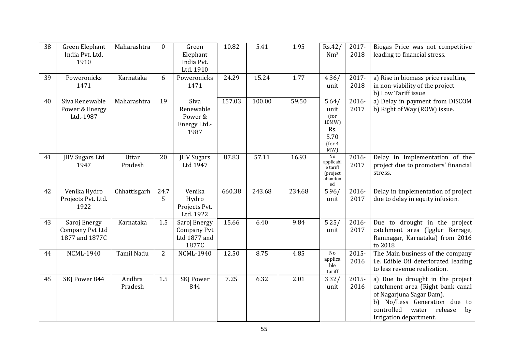| 38 | Green Elephant<br>India Pvt. Ltd.<br>1910         | Maharashtra       | $\mathbf{0}$   | Green<br>Elephant<br>India Pvt.<br>Ltd. 1910         | 10.82  | 5.41   | 1.95   | Rs.42/<br>Nm <sup>3</sup>                                       | 2017-<br>2018    | Biogas Price was not competitive<br>leading to financial stress.                                                                                                                                   |
|----|---------------------------------------------------|-------------------|----------------|------------------------------------------------------|--------|--------|--------|-----------------------------------------------------------------|------------------|----------------------------------------------------------------------------------------------------------------------------------------------------------------------------------------------------|
| 39 | Poweronicks<br>1471                               | Karnataka         | 6              | Poweronicks<br>1471                                  | 24.29  | 15.24  | 1.77   | 4.36/<br>unit                                                   | 2017-<br>2018    | a) Rise in biomass price resulting<br>in non-viability of the project.<br>b) Low Tariff issue                                                                                                      |
| 40 | Siva Renewable<br>Power & Energy<br>Ltd.-1987     | Maharashtra       | 19             | Siva<br>Renewable<br>Power &<br>Energy Ltd.-<br>1987 | 157.03 | 100.00 | 59.50  | 5.64/<br>unit<br>(for<br>10MW)<br>Rs.<br>5.70<br>(for 4)<br>MW  | 2016-<br>2017    | a) Delay in payment from DISCOM<br>b) Right of Way (ROW) issue.                                                                                                                                    |
| 41 | JHV Sugars Ltd<br>1947                            | Uttar<br>Pradesh  | 20             | <b>JHV</b> Sugars<br>Ltd 1947                        | 87.83  | 57.11  | 16.93  | $\rm No$<br>applicabl<br>e tariff<br>(project)<br>abandon<br>ed | $2016 -$<br>2017 | Delay in Implementation of the<br>project due to promoters' financial<br>stress.                                                                                                                   |
| 42 | Venika Hydro<br>Projects Pvt. Ltd.<br>1922        | Chhattisgarh      | 24.7<br>5      | Venika<br>Hydro<br>Projects Pvt.<br>Ltd. 1922        | 660.38 | 243.68 | 234.68 | 5.96/<br>unit                                                   | 2016-<br>2017    | Delay in implementation of project<br>due to delay in equity infusion.                                                                                                                             |
| 43 | Saroj Energy<br>Company Pvt Ltd<br>1877 and 1877C | Karnataka         | 1.5            | Saroj Energy<br>Company Pvt<br>Ltd 1877 and<br>1877C | 15.66  | 6.40   | 9.84   | 5.25/<br>unit                                                   | 2016-<br>2017    | Due to drought in the project<br>catchment area (Igglur Barrage,<br>Ramnagar, Karnataka) from 2016<br>to 2018                                                                                      |
| 44 | <b>NCML-1940</b>                                  | Tamil Nadu        | $\overline{2}$ | <b>NCML-1940</b>                                     | 12.50  | 8.75   | 4.85   | $\rm No$<br>applica<br>ble<br>tariff                            | 2015-<br>2016    | The Main business of the company<br>i.e. Edible Oil deteriorated leading<br>to less revenue realization.                                                                                           |
| 45 | SKJ Power 844                                     | Andhra<br>Pradesh | 1.5            | <b>SKJ Power</b><br>844                              | 7.25   | 6.32   | 2.01   | 3.32/<br>unit                                                   | 2015-<br>2016    | a) Due to drought in the project<br>catchment area (Right bank canal<br>of Nagarjuna Sagar Dam).<br>b) No/Less Generation due to<br>controlled<br>water<br>release<br>by<br>Irrigation department. |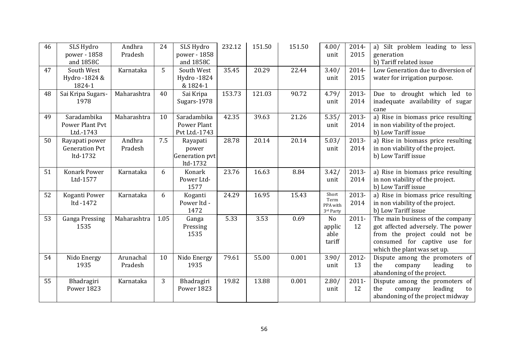| 46 | SLS Hydro             | Andhra      | 24   | SLS Hydro         | 232.12 | 151.50 | 151.50 | 4.00/         | 2014-    | a) Silt problem leading to less    |
|----|-----------------------|-------------|------|-------------------|--------|--------|--------|---------------|----------|------------------------------------|
|    | power - 1858          | Pradesh     |      | power - 1858      |        |        |        | unit          | 2015     | generation                         |
|    | and 1858C             |             |      | and 1858C         |        |        |        |               |          | b) Tariff related issue            |
| 47 | South West            | Karnataka   | 5    | South West        | 35.45  | 20.29  | 22.44  | 3.40/         | 2014-    | Low Generation due to diversion of |
|    | Hydro -1824 &         |             |      | Hydro -1824       |        |        |        | unit          | 2015     | water for irrigation purpose.      |
|    | 1824-1                |             |      | & 1824-1          |        |        |        |               |          |                                    |
| 48 | Sai Kripa Sugars-     | Maharashtra | 40   | Sai Kripa         | 153.73 | 121.03 | 90.72  | 4.79/         | 2013-    | Due to drought which led to        |
|    | 1978                  |             |      | Sugars-1978       |        |        |        | unit          | 2014     | inadequate availability of sugar   |
|    |                       |             |      |                   |        |        |        |               |          | cane                               |
| 49 | Saradambika           | Maharashtra | 10   | Saradambika       | 42.35  | 39.63  | 21.26  | 5.35/         | 2013-    | a) Rise in biomass price resulting |
|    | Power Plant Pvt       |             |      | Power Plant       |        |        |        | unit          | 2014     | in non viability of the project.   |
|    | Ltd.-1743             |             |      | Pvt Ltd.-1743     |        |        |        |               |          | b) Low Tariff issue                |
| 50 | Rayapati power        | Andhra      | 7.5  | Rayapati          | 28.78  | 20.14  | 20.14  | 5.03/         | 2013-    | a) Rise in biomass price resulting |
|    | <b>Generation Pvt</b> | Pradesh     |      | power             |        |        |        | unit          | 2014     | in non viability of the project.   |
|    | ltd-1732              |             |      | Generation pvt    |        |        |        |               |          | b) Low Tariff issue                |
|    |                       |             |      | ltd-1732          |        |        |        |               |          |                                    |
| 51 | Konark Power          | Karnataka   | 6    | Konark            | 23.76  | 16.63  | 8.84   | 3.42/         | 2013-    | a) Rise in biomass price resulting |
|    | Ltd-1577              |             |      | Power Ltd-        |        |        |        | unit          | 2014     | in non viability of the project.   |
|    |                       |             |      | 1577              |        |        |        |               |          | b) Low Tariff issue                |
| 52 | Koganti Power         | Karnataka   | 6    | Koganti           | 24.29  | 16.95  | 15.43  | Short<br>Term | 2013-    | a) Rise in biomass price resulting |
|    | ltd -1472             |             |      | Power ltd -       |        |        |        | PPA with      | 2014     | in non viability of the project.   |
|    |                       |             |      | 1472              |        |        |        | 3rd Party     |          | b) Low Tariff issue                |
| 53 | <b>Ganga Pressing</b> | Maharashtra | 1.05 | Ganga             | 5.33   | 3.53   | 0.69   | No            | $2011 -$ | The main business of the company   |
|    | 1535                  |             |      | Pressing          |        |        |        | applic        | 12       | got affected adversely. The power  |
|    |                       |             |      | 1535              |        |        |        | able          |          | from the project could not be      |
|    |                       |             |      |                   |        |        |        | tariff        |          | consumed for captive use for       |
|    |                       |             |      |                   |        |        |        |               |          | which the plant was set up.        |
| 54 | Nido Energy           | Arunachal   | 10   | Nido Energy       | 79.61  | 55.00  | 0.001  | 3.90/         | 2012-    | Dispute among the promoters of     |
|    | 1935                  | Pradesh     |      | 1935              |        |        |        | unit          | 13       | the<br>company<br>leading<br>to    |
|    |                       |             |      |                   |        |        |        |               |          | abandoning of the project.         |
| 55 | Bhadragiri            | Karnataka   | 3    | Bhadragiri        | 19.82  | 13.88  | 0.001  | 2.80/         | $2011 -$ | Dispute among the promoters of     |
|    | <b>Power 1823</b>     |             |      | <b>Power 1823</b> |        |        |        | unit          | 12       | leading<br>the<br>company<br>to    |
|    |                       |             |      |                   |        |        |        |               |          | abandoning of the project midway   |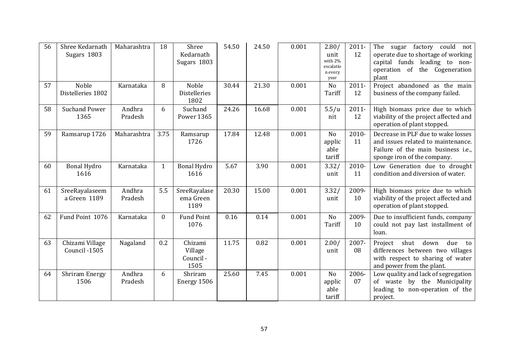| 56 | Shree Kedarnath<br>Sugars 1803   | Maharashtra       | 18           | Shree<br>Kedarnath<br>Sugars 1803       | 54.50 | 24.50 | 0.001 | 2.80/<br>unit<br>with 2%<br>escalatio<br>n every<br>year | 2011-<br>12    | sugar factory could not<br>The<br>operate due to shortage of working<br>capital funds leading to non-<br>operation of the Cogeneration<br>plant |
|----|----------------------------------|-------------------|--------------|-----------------------------------------|-------|-------|-------|----------------------------------------------------------|----------------|-------------------------------------------------------------------------------------------------------------------------------------------------|
| 57 | Noble<br>Distelleries 1802       | Karnataka         | 8            | Noble<br><b>Distelleries</b><br>1802    | 30.44 | 21.30 | 0.001 | No<br>Tariff                                             | $2011 -$<br>12 | Project abandoned as the main<br>business of the company failed.                                                                                |
| 58 | <b>Suchand Power</b><br>1365     | Andhra<br>Pradesh | 6            | Suchand<br>Power 1365                   | 24.26 | 16.68 | 0.001 | 5.5/u<br>nit                                             | $2011 -$<br>12 | High biomass price due to which<br>viability of the project affected and<br>operation of plant stopped.                                         |
| 59 | Ramsarup 1726                    | Maharashtra       | 3.75         | Ramsarup<br>1726                        | 17.84 | 12.48 | 0.001 | No<br>applic<br>able<br>tariff                           | 2010-<br>11    | Decrease in PLF due to wake losses<br>and issues related to maintenance.<br>Failure of the main business i.e.,<br>sponge iron of the company.   |
| 60 | <b>Bonal Hydro</b><br>1616       | Karnataka         | $\mathbf{1}$ | <b>Bonal Hydro</b><br>1616              | 5.67  | 3.90  | 0.001 | 3.32/<br>unit                                            | 2010-<br>11    | Low Generation due to drought<br>condition and diversion of water.                                                                              |
| 61 | SreeRayalaseem<br>a Green 1189   | Andhra<br>Pradesh | 5.5          | SreeRayalase<br>ema Green<br>1189       | 20.30 | 15.00 | 0.001 | 3.32/<br>unit                                            | 2009-<br>10    | High biomass price due to which<br>viability of the project affected and<br>operation of plant stopped.                                         |
| 62 | Fund Point 1076                  | Karnataka         | $\mathbf{0}$ | <b>Fund Point</b><br>1076               | 0.16  | 0.14  | 0.001 | N <sub>o</sub><br>Tariff                                 | 2009-<br>10    | Due to insufficient funds, company<br>could not pay last installment of<br>loan.                                                                |
| 63 | Chizami Village<br>Council -1505 | Nagaland          | 0.2          | Chizami<br>Village<br>Council -<br>1505 | 11.75 | 0.82  | 0.001 | 2.00/<br>unit                                            | 2007-<br>08    | shut<br>down<br>due<br>Project<br>to<br>differences between two villages<br>with respect to sharing of water<br>and power from the plant.       |
| 64 | Shriram Energy<br>1506           | Andhra<br>Pradesh | 6            | Shriram<br>Energy 1506                  | 25.60 | 7.45  | 0.001 | N <sub>o</sub><br>applic<br>able<br>tariff               | 2006-<br>07    | Low quality and lack of segregation<br>of waste by the Municipality<br>leading to non-operation of the<br>project.                              |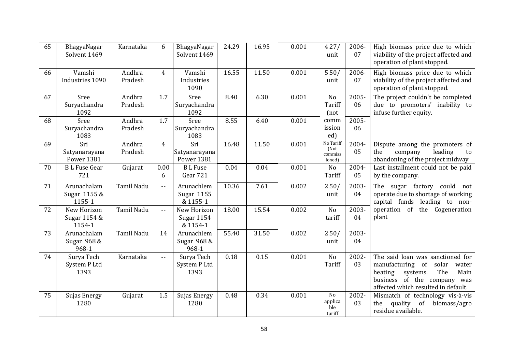| 65 | BhagyaNagar<br>Solvent 1469               | Karnataka         | 6                          | BhagyaNagar<br>Solvent 1469               | 24.29 | 16.95 | 0.001 | 4.27/<br>unit                          | 2006-<br>07 | High biomass price due to which<br>viability of the project affected and<br>operation of plant stopped.                                                                            |
|----|-------------------------------------------|-------------------|----------------------------|-------------------------------------------|-------|-------|-------|----------------------------------------|-------------|------------------------------------------------------------------------------------------------------------------------------------------------------------------------------------|
| 66 | Vamshi<br>Industries 1090                 | Andhra<br>Pradesh | 4                          | Vamshi<br>Industries<br>1090              | 16.55 | 11.50 | 0.001 | 5.50/<br>unit                          | 2006-<br>07 | High biomass price due to which<br>viability of the project affected and<br>operation of plant stopped.                                                                            |
| 67 | Sree<br>Suryachandra<br>1092              | Andhra<br>Pradesh | 1.7                        | Sree<br>Suryachandra<br>1092              | 8.40  | 6.30  | 0.001 | No<br>Tariff<br>(not)                  | 2005-<br>06 | The project couldn't be completed<br>due to promoters' inability to<br>infuse further equity.                                                                                      |
| 68 | Sree<br>Suryachandra<br>1083              | Andhra<br>Pradesh | 1.7                        | Sree<br>Suryachandra<br>1083              | 8.55  | 6.40  | 0.001 | comm<br>ission<br>ed)                  | 2005-<br>06 |                                                                                                                                                                                    |
| 69 | Sri<br>Satyanarayana<br><b>Power 1381</b> | Andhra<br>Pradesh | 4                          | Sri<br>Satyanarayana<br><b>Power 1381</b> | 16.48 | 11.50 | 0.001 | No Tariff<br>(Not<br>commiss<br>ioned) | 2004-<br>05 | Dispute among the promoters of<br>the<br>company<br>leading<br>to<br>abandoning of the project midway                                                                              |
| 70 | <b>BL</b> Fuse Gear<br>721                | Gujarat           | 0.00<br>6                  | <b>BL</b> Fuse<br>Gear 721                | 0.04  | 0.04  | 0.001 | No<br>Tariff                           | 2004-<br>05 | Last installment could not be paid<br>by the company.                                                                                                                              |
| 71 | Arunachalam<br>Sugar 1155 &<br>1155-1     | <b>Tamil Nadu</b> | $-$                        | Arunachlem<br>Sugar 1155<br>& 1155-1      | 10.36 | 7.61  | 0.002 | 2.50/<br>unit                          | 2003-<br>04 | The sugar factory could not<br>operate due to shortage of working<br>capital funds leading to non-                                                                                 |
| 72 | New Horizon<br>Sugar 1154 &<br>1154-1     | <b>Tamil Nadu</b> | $-$                        | New Horizon<br>Sugar 1154<br>& 1154-1     | 18.00 | 15.54 | 0.002 | N <sub>o</sub><br>tariff               | 2003-<br>04 | operation of the Cogeneration<br>plant                                                                                                                                             |
| 73 | Arunachalam<br>Sugar 968 &<br>968-1       | <b>Tamil Nadu</b> | 14                         | Arunachlem<br>Sugar 968 &<br>968-1        | 55.40 | 31.50 | 0.002 | 2.50/<br>unit                          | 2003-<br>04 |                                                                                                                                                                                    |
| 74 | Surya Tech<br>System P Ltd<br>1393        | Karnataka         | $\overline{\phantom{a}}$ . | Surya Tech<br>System P Ltd<br>1393        | 0.18  | 0.15  | 0.001 | No<br>Tariff                           | 2002-<br>03 | The said loan was sanctioned for<br>manufacturing of<br>solar<br>water<br>The<br>heating<br>systems.<br>Main<br>business of the company was<br>affected which resulted in default. |
| 75 | Sujas Energy<br>1280                      | Gujarat           | 1.5                        | Sujas Energy<br>1280                      | 0.48  | 0.34  | 0.001 | No<br>applica<br>ble<br>tariff         | 2002-<br>03 | Mismatch of technology vis-à-vis<br>quality<br>of<br>biomass/agro<br>the<br>residue available.                                                                                     |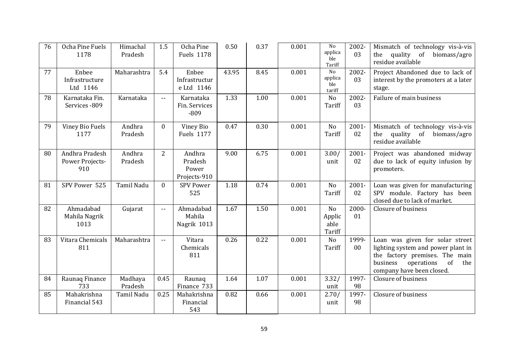| 76 | Ocha Pine Fuels<br>1178                  | Himachal<br>Pradesh | 1.5            | Ocha Pine<br><b>Fuels 1178</b>             | 0.50  | 0.37 | 0.001 | N <sub>0</sub><br>applica<br>ble<br>Tariff | 2002-<br>03     | Mismatch of technology vis-à-vis<br>quality<br>of<br>biomass/agro<br>the<br>residue available                                                                               |
|----|------------------------------------------|---------------------|----------------|--------------------------------------------|-------|------|-------|--------------------------------------------|-----------------|-----------------------------------------------------------------------------------------------------------------------------------------------------------------------------|
| 77 | Enbee<br>Infrastructure<br>Ltd 1146      | Maharashtra         | 5.4            | Enbee<br>Infrastructur<br>e Ltd 1146       | 43.95 | 8.45 | 0.001 | No<br>applica<br>ble<br>tariff             | 2002-<br>03     | Project Abandoned due to lack of<br>interest by the promoters at a later<br>stage.                                                                                          |
| 78 | Karnataka Fin.<br>Services - 809         | Karnataka           | $\overline{a}$ | Karnataka<br>Fin. Services<br>$-809$       | 1.33  | 1.00 | 0.001 | N <sub>o</sub><br>Tariff                   | 2002-<br>03     | Failure of main business                                                                                                                                                    |
| 79 | Viney Bio Fuels<br>1177                  | Andhra<br>Pradesh   | $\Omega$       | Viney Bio<br><b>Fuels 1177</b>             | 0.47  | 0.30 | 0.001 | N <sub>o</sub><br>Tariff                   | $2001 -$<br>02  | Mismatch of technology vis-à-vis<br>quality<br>of<br>biomass/agro<br>the<br>residue available                                                                               |
| 80 | Andhra Pradesh<br>Power Projects-<br>910 | Andhra<br>Pradesh   | 2              | Andhra<br>Pradesh<br>Power<br>Projects-910 | 9.00  | 6.75 | 0.001 | 3.00/<br>unit                              | 2001-<br>02     | Project was abandoned midway<br>due to lack of equity infusion by<br>promoters.                                                                                             |
| 81 | SPV Power 525                            | <b>Tamil Nadu</b>   | $\mathbf{0}$   | <b>SPV Power</b><br>525                    | 1.18  | 0.74 | 0.001 | No<br>Tariff                               | $2001 -$<br>02  | Loan was given for manufacturing<br>SPV module. Factory has been<br>closed due to lack of market.                                                                           |
| 82 | Ahmadabad<br>Mahila Nagrik<br>1013       | Gujarat             | $\overline{a}$ | Ahmadabad<br>Mahila<br>Nagrik 1013         | 1.67  | 1.50 | 0.001 | N <sub>o</sub><br>Applic<br>able<br>Tariff | 2000-<br>01     | Closure of business                                                                                                                                                         |
| 83 | Vitara Chemicals<br>811                  | Maharashtra         | $\sim$ $\sim$  | Vitara<br>Chemicals<br>811                 | 0.26  | 0.22 | 0.001 | N <sub>o</sub><br>Tariff                   | 1999-<br>$00\,$ | Loan was given for solar street<br>lighting system and power plant in<br>the factory premises. The main<br>of<br>business<br>operations<br>the<br>company have been closed. |
| 84 | Raunaq Finance<br>733                    | Madhaya<br>Pradesh  | 0.45           | Raunaq<br>Finance 733                      | 1.64  | 1.07 | 0.001 | 3.32/<br>unit                              | 1997-<br>98     | Closure of business                                                                                                                                                         |
| 85 | Mahakrishna<br>Financial 543             | Tamil Nadu          | 0.25           | Mahakrishna<br>Financial<br>543            | 0.82  | 0.66 | 0.001 | 2.70/<br>unit                              | 1997-<br>98     | Closure of business                                                                                                                                                         |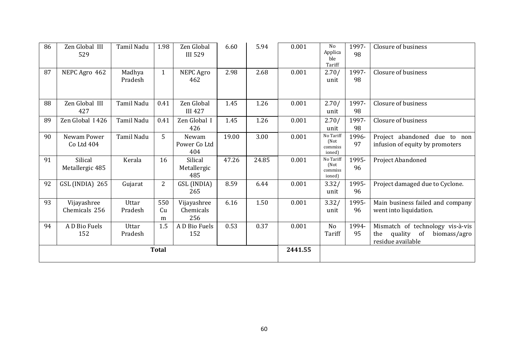| 86 | Zen Global III<br>529        | Tamil Nadu        | 1.98           | Zen Global<br><b>III</b> 529    | 6.60  | 5.94  | 0.001   | N <sub>o</sub><br>Applica<br>ble<br>Tariff | 1997-<br>98 | Closure of business                                                                           |
|----|------------------------------|-------------------|----------------|---------------------------------|-------|-------|---------|--------------------------------------------|-------------|-----------------------------------------------------------------------------------------------|
| 87 | NEPC Agro 462                | Madhya<br>Pradesh | $\mathbf{1}$   | NEPC Agro<br>462                | 2.98  | 2.68  | 0.001   | 2.70/<br>unit                              | 1997-<br>98 | Closure of business                                                                           |
| 88 | Zen Global III<br>427        | Tamil Nadu        | 0.41           | Zen Global<br><b>III 427</b>    | 1.45  | 1.26  | 0.001   | 2.70/<br>unit                              | 1997-<br>98 | Closure of business                                                                           |
| 89 | Zen Global I 426             | Tamil Nadu        | 0.41           | Zen Global I<br>426             | 1.45  | 1.26  | 0.001   | 2.70/<br>unit                              | 1997-<br>98 | Closure of business                                                                           |
| 90 | Newam Power<br>Co Ltd 404    | Tamil Nadu        | 5              | Newam<br>Power Co Ltd<br>404    | 19.00 | 3.00  | 0.001   | No Tariff<br>(Not<br>commiss<br>ioned)     | 1996-<br>97 | Project abandoned due to non<br>infusion of equity by promoters                               |
| 91 | Silical<br>Metallergic 485   | Kerala            | 16             | Silical<br>Metallergic<br>485   | 47.26 | 24.85 | 0.001   | No Tariff<br>(Not<br>commiss<br>ioned)     | 1995-<br>96 | Project Abandoned                                                                             |
| 92 | GSL (INDIA) 265              | Gujarat           | $\overline{2}$ | GSL (INDIA)<br>265              | 8.59  | 6.44  | 0.001   | 3.32/<br>unit                              | 1995-<br>96 | Project damaged due to Cyclone.                                                               |
| 93 | Vijayashree<br>Chemicals 256 | Uttar<br>Pradesh  | 550<br>Cu<br>m | Vijayashree<br>Chemicals<br>256 | 6.16  | 1.50  | 0.001   | 3.32/<br>unit                              | 1995-<br>96 | Main business failed and company<br>went into liquidation.                                    |
| 94 | A D Bio Fuels<br>152         | Uttar<br>Pradesh  | 1.5            | A D Bio Fuels<br>152            | 0.53  | 0.37  | 0.001   | N <sub>o</sub><br>Tariff                   | 1994-<br>95 | Mismatch of technology vis-à-vis<br>quality<br>of<br>biomass/agro<br>the<br>residue available |
|    |                              |                   | <b>Total</b>   |                                 |       |       | 2441.55 |                                            |             |                                                                                               |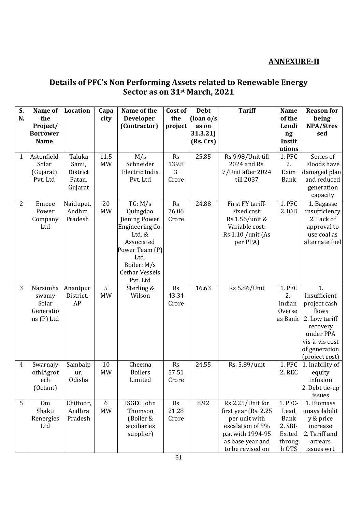## **ANNEXURE-II**

### **Details of PFC's Non Performing Assets related to Renewable Energy Sector as on 31st March, 2021**

| S.<br>N. | Name of<br>the<br>Project/<br><b>Borrower</b>         | Location                                         | Capa<br>city      | Name of the<br><b>Developer</b><br>(Contractor)                                                                                                               | Cost of<br>the<br>project | <b>Debt</b><br>(loan $o/s$<br>as on<br>31.3.21) | <b>Tariff</b>                                                                                                                               | <b>Name</b><br>of the<br>Lendi<br>ng                                   | <b>Reason for</b><br>being<br><b>NPA/Stres</b><br>sed                                                                                      |
|----------|-------------------------------------------------------|--------------------------------------------------|-------------------|---------------------------------------------------------------------------------------------------------------------------------------------------------------|---------------------------|-------------------------------------------------|---------------------------------------------------------------------------------------------------------------------------------------------|------------------------------------------------------------------------|--------------------------------------------------------------------------------------------------------------------------------------------|
|          | <b>Name</b>                                           |                                                  |                   |                                                                                                                                                               |                           | (Rs. Crs)                                       |                                                                                                                                             | Instit<br>utions                                                       |                                                                                                                                            |
| 1        | Astonfield<br>Solar<br>(Gujarat)<br>Pvt. Ltd          | Taluka<br>Sami,<br>District<br>Patan,<br>Gujarat | 11.5<br><b>MW</b> | M/s<br>Schneider<br>Electric India<br>Pvt. Ltd                                                                                                                | Rs<br>139.8<br>3<br>Crore | 25.85                                           | Rs 9.98/Unit till<br>2024 and Rs.<br>7/Unit after 2024<br>till 2037                                                                         | 1. PFC<br>2.<br>Exim<br><b>Bank</b>                                    | Series of<br>Floods have<br>damaged plant<br>and reduced<br>generation<br>capacity                                                         |
| 2        | Empee<br>Power<br>Company<br>Ltd                      | Naidupet,<br>Andhra<br>Pradesh                   | 20<br><b>MW</b>   | TG: M/s<br>Quingdao<br>Jiening Power<br>Engineering Co.<br>Ltd. &<br>Associated<br>Power Team (P)<br>Ltd.<br>Boiler: M/s<br><b>Cethar Vessels</b><br>Pvt. Ltd | Rs<br>76.06<br>Crore      | 24.88                                           | First FY tariff-<br>Fixed cost:<br>Rs.1.56/unit &<br>Variable cost:<br>Rs.1.10 /unit (As<br>per PPA)                                        | 1. PFC<br>2. IOB                                                       | 1. Bagasse<br>insufficiency<br>2. Lack of<br>approval to<br>use coal as<br>alternate fuel                                                  |
| 3        | Narsimha<br>swamy<br>Solar<br>Generatio<br>ns (P) Ltd | Anantpur<br>District,<br>AP                      | 5<br><b>MW</b>    | Sterling &<br>Wilson                                                                                                                                          | Rs<br>43.34<br>Crore      | 16.63                                           | Rs 5.86/Unit                                                                                                                                | 1. PFC<br>2.<br>Indian<br>Overse<br>as Bank                            | 1.<br>Insufficient<br>project cash<br>flows<br>2. Low tariff<br>recovery<br>under PPA<br>vis-à-vis cost<br>of generation<br>(project cost) |
| 4        | Swarnajy<br>othiAgrot<br>ech<br>(Octant)              | Sambalp<br>ur,<br>Odisha                         | 10<br><b>MW</b>   | Cheema<br><b>Boilers</b><br>Limited                                                                                                                           | Rs<br>57.51<br>Crore      | 24.55                                           | Rs. 5.89/unit                                                                                                                               | 1. PFC<br>2. REC                                                       | 1. Inability of<br>equity<br>infusion<br>2. Debt tie-up<br>issues                                                                          |
| 5        | 0 <sub>m</sub><br>Shakti<br>Renergies<br>Ltd          | Chittoor,<br>Andhra<br>Pradesh                   | 6<br><b>MW</b>    | ISGEC John<br>Thomson<br>(Boiler &<br>auxiliaries<br>supplier)                                                                                                | Rs<br>21.28<br>Crore      | 8.92                                            | Rs 2.25/Unit for<br>first year (Rs. 2.25)<br>per unit with<br>escalation of 5%<br>p.a. with 1994-95<br>as base year and<br>to be revised on | 1. PFC-<br>Lead<br><b>Bank</b><br>2. SBI-<br>Exited<br>throug<br>h OTS | 1. Biomass<br>unavailabilit<br>y & price<br>increase<br>2. Tariff and<br>arrears<br>issues wrt                                             |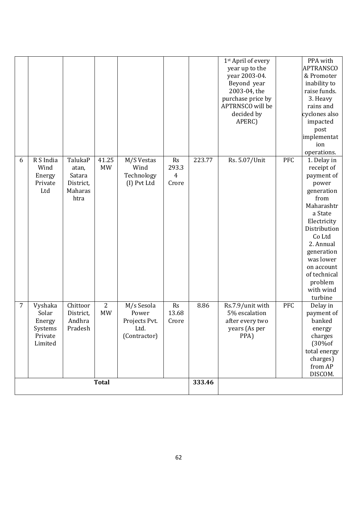|              |                                                             |                                                            |                         |                                                              |                           |                | 1 <sup>st</sup> April of every<br>year up to the<br>year 2003-04.<br>Beyond year<br>2003-04, the<br>purchase price by<br>APTRNSCO will be<br>decided by<br>APERC) |     | PPA with<br><b>APTRANSCO</b><br>& Promoter<br>inability to<br>raise funds.<br>3. Heavy<br>rains and<br>cyclones also<br>impacted<br>post<br>implementat<br>ion<br>operations.                                                                     |
|--------------|-------------------------------------------------------------|------------------------------------------------------------|-------------------------|--------------------------------------------------------------|---------------------------|----------------|-------------------------------------------------------------------------------------------------------------------------------------------------------------------|-----|---------------------------------------------------------------------------------------------------------------------------------------------------------------------------------------------------------------------------------------------------|
| 6            | R S India<br>Wind<br>Energy<br>Private<br>Ltd               | TalukaP<br>atan,<br>Satara<br>District,<br>Maharas<br>htra | 41.25<br><b>MW</b>      | M/S Vestas<br>Wind<br>Technology<br>(I) Pvt Ltd              | Rs<br>293.3<br>4<br>Crore | 223.77         | Rs. 5.07/Unit                                                                                                                                                     | PFC | 1. Delay in<br>receipt of<br>payment of<br>power<br>generation<br>from<br>Maharashtr<br>a State<br>Electricity<br>Distribution<br>Co Ltd<br>2. Annual<br>generation<br>was lower<br>on account<br>of technical<br>problem<br>with wind<br>turbine |
| 7            | Vyshaka<br>Solar<br>Energy<br>Systems<br>Private<br>Limited | Chittoor<br>District,<br>Andhra<br>Pradesh                 | $\sqrt{2}$<br><b>MW</b> | M/s Sesola<br>Power<br>Projects Pvt.<br>Ltd.<br>(Contractor) | Rs<br>13.68<br>Crore      | 8.86<br>333.46 | Rs.7.9/unit with<br>5% escalation<br>after every two<br>years (As per<br>PPA)                                                                                     | PFC | Delay in<br>payment of<br>banked<br>energy<br>charges<br>(30%of<br>total energy<br>charges)<br>from AP<br>DISCOM.                                                                                                                                 |
| <b>Total</b> |                                                             |                                                            |                         |                                                              |                           |                |                                                                                                                                                                   |     |                                                                                                                                                                                                                                                   |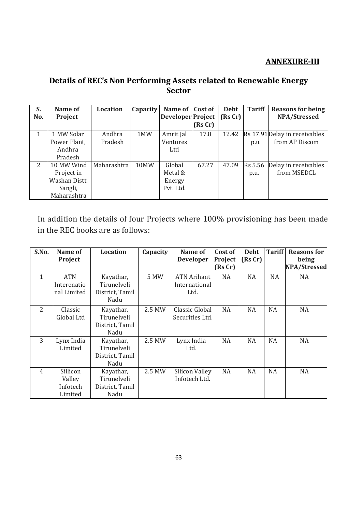### **ANNEXURE-III**

## **Details of REC's Non Performing Assets related to Renewable Energy Sector**

| S.  | Name of       | Location    | Capacity | Name of Cost of          |         | <b>Debt</b> | <b>Tariff</b> | <b>Reasons for being</b>      |
|-----|---------------|-------------|----------|--------------------------|---------|-------------|---------------|-------------------------------|
| No. | Project       |             |          | <b>Developer Project</b> |         | (RsCr)      |               | NPA/Stressed                  |
|     |               |             |          |                          | (Rs Cr) |             |               |                               |
| 1   | 1 MW Solar    | Andhra      | 1MW      | Amrit Jal                | 17.8    | 12.42       |               | Rs 17.91 Delay in receivables |
|     | Power Plant,  | Pradesh     |          | Ventures                 |         |             | p.u.          | from AP Discom                |
|     | Andhra        |             |          | Ltd                      |         |             |               |                               |
|     | Pradesh       |             |          |                          |         |             |               |                               |
| 2   | 10 MW Wind    | Maharashtra | 10MW     | Global                   | 67.27   | 47.09       | Rs 5.56       | Delay in receivables          |
|     | Project in    |             |          | Metal &                  |         |             | p.u.          | from MSEDCL                   |
|     | Washan Distt. |             |          | Energy                   |         |             |               |                               |
|     | Sangli,       |             |          | Pvt. Ltd.                |         |             |               |                               |
|     | Maharashtra   |             |          |                          |         |             |               |                               |

In addition the details of four Projects where 100% provisioning has been made in the REC books are as follows:

| S.No.          | Name of     | <b>Location</b> | Capacity | Name of               | <b>Cost of</b> | <b>Debt</b> | <b>Tariff</b> | <b>Reasons for</b>  |
|----------------|-------------|-----------------|----------|-----------------------|----------------|-------------|---------------|---------------------|
|                | Project     |                 |          | <b>Developer</b>      | Project        | (RsCr)      |               | being               |
|                |             |                 |          |                       | (RsCr)         |             |               | <b>NPA/Stressed</b> |
| $\mathbf{1}$   | <b>ATN</b>  | Kayathar,       | 5 MW     | <b>ATN Arihant</b>    | NA             | <b>NA</b>   | NA            | NA                  |
|                | Interenatio | Tirunelveli     |          | International         |                |             |               |                     |
|                | nal Limited | District, Tamil |          | Ltd.                  |                |             |               |                     |
|                |             | Nadu            |          |                       |                |             |               |                     |
| 2              | Classic     | Kayathar,       | 2.5 MW   | Classic Global        | <b>NA</b>      | NA          | NA            | NA                  |
|                | Global Ltd  | Tirunelveli     |          | Securities Ltd.       |                |             |               |                     |
|                |             | District, Tamil |          |                       |                |             |               |                     |
|                |             | Nadu            |          |                       |                |             |               |                     |
| 3              | Lynx India  | Kayathar,       | 2.5 MW   | Lynx India            | NA             | NA          | <b>NA</b>     | NA                  |
|                | Limited     | Tirunelveli     |          | Ltd.                  |                |             |               |                     |
|                |             | District, Tamil |          |                       |                |             |               |                     |
|                |             | Nadu            |          |                       |                |             |               |                     |
| $\overline{4}$ | Sillicon    | Kayathar,       | 2.5 MW   | <b>Silicon Valley</b> | NA             | NA          | <b>NA</b>     | NA                  |
|                | Valley      | Tirunelveli     |          | Infotech Ltd.         |                |             |               |                     |
|                | Infotech    | District, Tamil |          |                       |                |             |               |                     |
|                | Limited     | Nadu            |          |                       |                |             |               |                     |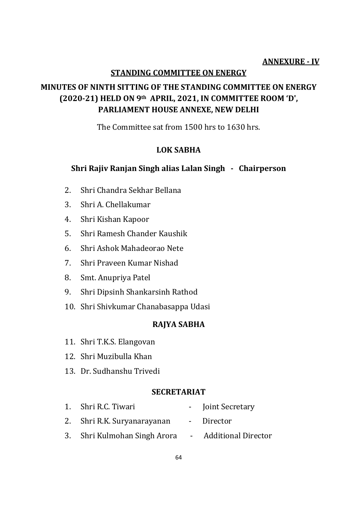#### **ANNEXURE - IV**

#### **STANDING COMMITTEE ON ENERGY**

## **MINUTES OF NINTH SITTING OF THE STANDING COMMITTEE ON ENERGY (2020-21) HELD ON 9th APRIL, 2021, IN COMMITTEE ROOM 'D', PARLIAMENT HOUSE ANNEXE, NEW DELHI**

The Committee sat from 1500 hrs to 1630 hrs.

### **LOK SABHA**

### **Shri Rajiv Ranjan Singh alias Lalan Singh - Chairperson**

- 2. Shri Chandra Sekhar Bellana
- 3. Shri A. Chellakumar
- 4. Shri Kishan Kapoor
- 5. Shri Ramesh Chander Kaushik
- 6. Shri Ashok Mahadeorao Nete
- 7. Shri Praveen Kumar Nishad
- 8. Smt. Anupriya Patel
- 9. Shri Dipsinh Shankarsinh Rathod
- 10. Shri Shivkumar Chanabasappa Udasi

#### **RAJYA SABHA**

- 11. Shri T.K.S. Elangovan
- 12. Shri Muzibulla Khan
- 13. Dr. Sudhanshu Trivedi

#### **SECRETARIAT**

| 1. Shri R.C. Tiwari                                | - Joint Secretary |
|----------------------------------------------------|-------------------|
| 2. Shri R.K. Suryanarayanan                        | - Director        |
| 3. Shri Kulmohan Singh Arora - Additional Director |                   |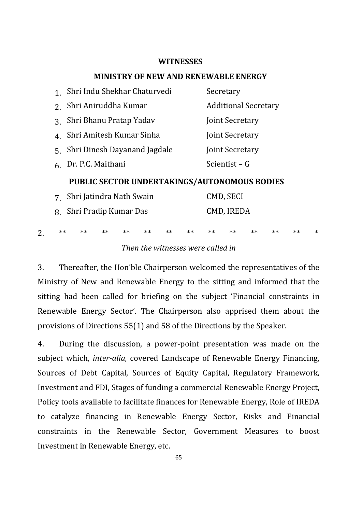#### **WITNESSES**

#### **MINISTRY OF NEW AND RENEWABLE ENERGY**

| $1 \quad$      | Shri Indu Shekhar Chaturvedi                        | Secretary                                  |  |  |  |  |
|----------------|-----------------------------------------------------|--------------------------------------------|--|--|--|--|
| 2.             | Shri Aniruddha Kumar                                | <b>Additional Secretary</b>                |  |  |  |  |
| $3_{-}$        | Shri Bhanu Pratap Yadav                             | Joint Secretary                            |  |  |  |  |
| $4_{-}$        | Shri Amitesh Kumar Sinha                            | Joint Secretary                            |  |  |  |  |
| 5 <sub>1</sub> | Shri Dinesh Dayanand Jagdale                        | Joint Secretary                            |  |  |  |  |
|                | 6 Dr. P.C. Maithani                                 | Scientist – G                              |  |  |  |  |
|                | <b>PUBLIC SECTOR UNDERTAKINGS/AUTONOMOUS BODIES</b> |                                            |  |  |  |  |
| $7^{\circ}$    | Shri Jatindra Nath Swain                            | CMD, SECI                                  |  |  |  |  |
| 8.             | Shri Pradip Kumar Das                               | CMD, IREDA                                 |  |  |  |  |
| **             | $**$<br>$**$<br>$***$<br>$**$<br>$**$<br>$**$       | ∗<br>$***$<br>$**$<br>$**$<br>$**$<br>$**$ |  |  |  |  |

#### *Then the witnesses were called in*

3. Thereafter, the Hon'ble Chairperson welcomed the representatives of the Ministry of New and Renewable Energy to the sitting and informed that the sitting had been called for briefing on the subject 'Financial constraints in Renewable Energy Sector'. The Chairperson also apprised them about the provisions of Directions 55(1) and 58 of the Directions by the Speaker.

4. During the discussion, a power-point presentation was made on the subject which, *inter-alia,* covered Landscape of Renewable Energy Financing, Sources of Debt Capital, Sources of Equity Capital, Regulatory Framework, Investment and FDI, Stages of funding a commercial Renewable Energy Project, Policy tools available to facilitate finances for Renewable Energy, Role of IREDA to catalyze financing in Renewable Energy Sector, Risks and Financial constraints in the Renewable Sector, Government Measures to boost Investment in Renewable Energy, etc.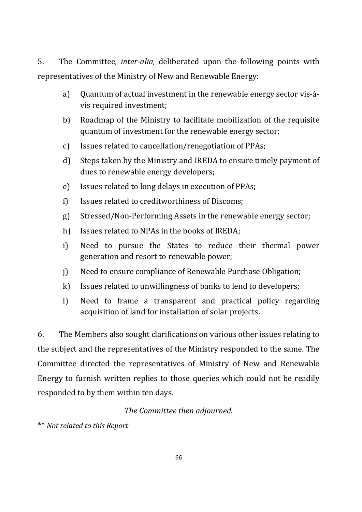5. The Committee, *inter-alia,* deliberated upon the following points with representatives of the Ministry of New and Renewable Energy:

- a) Quantum of actual investment in the renewable energy sector vis-àvis required investment;
- b) Roadmap of the Ministry to facilitate mobilization of the requisite quantum of investment for the renewable energy sector;
- c) Issues related to cancellation/renegotiation of PPAs;
- d) Steps taken by the Ministry and IREDA to ensure timely payment of dues to renewable energy developers;
- e) Issues related to long delays in execution of PPAs;
- f) Issues related to creditworthiness of Discoms;
- g) Stressed/Non-Performing Assets in the renewable energy sector;
- h) Issues related to NPAs in the books of IREDA;
- i) Need to pursue the States to reduce their thermal power generation and resort to renewable power;
- j) Need to ensure compliance of Renewable Purchase Obligation;
- k) Issues related to unwillingness of banks to lend to developers;
- l) Need to frame a transparent and practical policy regarding acquisition of land for installation of solar projects.

6. The Members also sought clarifications on various other issues relating to the subject and the representatives of the Ministry responded to the same. The Committee directed the representatives of Ministry of New and Renewable Energy to furnish written replies to those queries which could not be readily responded to by them within ten days.

## *The Committee then adjourned.*

\*\* *Not related to this Report*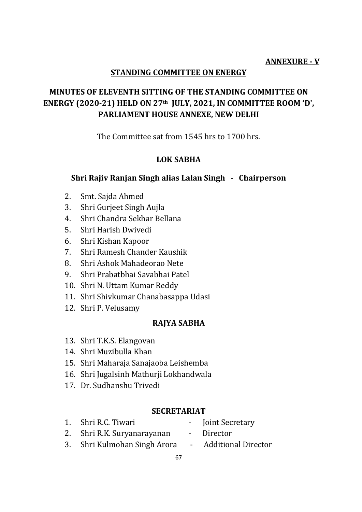### **ANNEXURE - V**

### **STANDING COMMITTEE ON ENERGY**

## **MINUTES OF ELEVENTH SITTING OF THE STANDING COMMITTEE ON ENERGY (2020-21) HELD ON 27th JULY, 2021, IN COMMITTEE ROOM 'D', PARLIAMENT HOUSE ANNEXE, NEW DELHI**

The Committee sat from 1545 hrs to 1700 hrs.

### **LOK SABHA**

#### **Shri Rajiv Ranjan Singh alias Lalan Singh - Chairperson**

- 2. Smt. Sajda Ahmed
- 3. Shri Gurjeet Singh Aujla
- 4. Shri Chandra Sekhar Bellana
- 5. Shri Harish Dwivedi
- 6. Shri Kishan Kapoor
- 7. Shri Ramesh Chander Kaushik
- 8. Shri Ashok Mahadeorao Nete
- 9. Shri Prabatbhai Savabhai Patel
- 10. Shri N. Uttam Kumar Reddy
- 11. Shri Shivkumar Chanabasappa Udasi
- 12. Shri P. Velusamy

#### **RAJYA SABHA**

- 13. Shri T.K.S. Elangovan
- 14. Shri Muzibulla Khan
- 15. Shri Maharaja Sanajaoba Leishemba
- 16. Shri Jugalsinh Mathurji Lokhandwala
- 17. Dr. Sudhanshu Trivedi

#### **SECRETARIAT**

- 1. Shri R.C. Tiwari Joint Secretary
- 2. Shri R.K. Suryanarayanan Director
- 3. Shri Kulmohan Singh Arora Additional Director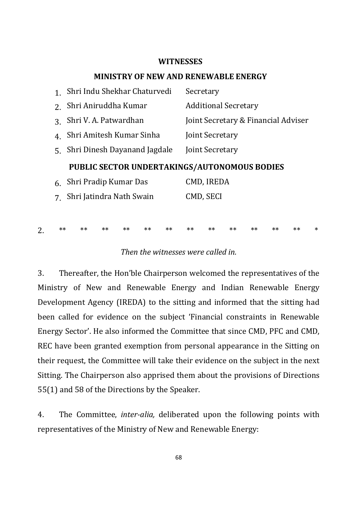#### **WITNESSES**

#### **MINISTRY OF NEW AND RENEWABLE ENERGY**

|       | Shri Indu Shekhar Chaturvedi                 | Secretary                           |
|-------|----------------------------------------------|-------------------------------------|
|       | Shri Aniruddha Kumar                         | <b>Additional Secretary</b>         |
| 3     | Shri V. A. Patwardhan                        | Joint Secretary & Financial Adviser |
| 4.    | Shri Amitesh Kumar Sinha                     | Joint Secretary                     |
| $5 -$ | Shri Dinesh Dayanand Jagdale                 | Joint Secretary                     |
|       |                                              |                                     |
|       | PUBLIC SECTOR UNDERTAKINGS/AUTONOMOUS BODIES |                                     |
| 6.    | Shri Pradip Kumar Das                        | CMD, IREDA                          |
|       | Shri Jatindra Nath Swain                     | CMD, SECI                           |
|       |                                              |                                     |

#### *Then the witnesses were called in.*

2. \*\* \*\* \*\* \*\* \*\* \*\* \*\* \*\* \*\* \*\* \*\* \*\* \*

3. Thereafter, the Hon'ble Chairperson welcomed the representatives of the Ministry of New and Renewable Energy and Indian Renewable Energy Development Agency (IREDA) to the sitting and informed that the sitting had been called for evidence on the subject 'Financial constraints in Renewable Energy Sector'. He also informed the Committee that since CMD, PFC and CMD, REC have been granted exemption from personal appearance in the Sitting on their request, the Committee will take their evidence on the subject in the next Sitting. The Chairperson also apprised them about the provisions of Directions 55(1) and 58 of the Directions by the Speaker.

4. The Committee, *inter-alia,* deliberated upon the following points with representatives of the Ministry of New and Renewable Energy: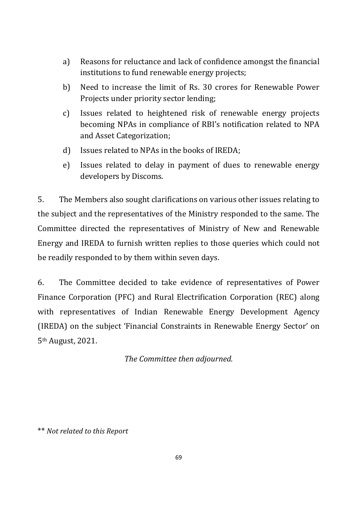- a) Reasons for reluctance and lack of confidence amongst the financial institutions to fund renewable energy projects;
- b) Need to increase the limit of Rs. 30 crores for Renewable Power Projects under priority sector lending;
- c) Issues related to heightened risk of renewable energy projects becoming NPAs in compliance of RBI's notification related to NPA and Asset Categorization;
- d) Issues related to NPAs in the books of IREDA;
- e) Issues related to delay in payment of dues to renewable energy developers by Discoms.

5. The Members also sought clarifications on various other issues relating to the subject and the representatives of the Ministry responded to the same. The Committee directed the representatives of Ministry of New and Renewable Energy and IREDA to furnish written replies to those queries which could not be readily responded to by them within seven days.

6. The Committee decided to take evidence of representatives of Power Finance Corporation (PFC) and Rural Electrification Corporation (REC) along with representatives of Indian Renewable Energy Development Agency (IREDA) on the subject 'Financial Constraints in Renewable Energy Sector' on 5th August, 2021.

*The Committee then adjourned.*

\*\* *Not related to this Report*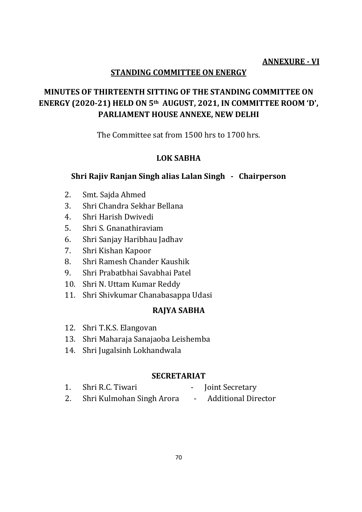### **ANNEXURE - VI**

### **STANDING COMMITTEE ON ENERGY**

## **MINUTES OF THIRTEENTH SITTING OF THE STANDING COMMITTEE ON ENERGY (2020-21) HELD ON 5th AUGUST, 2021, IN COMMITTEE ROOM 'D', PARLIAMENT HOUSE ANNEXE, NEW DELHI**

The Committee sat from 1500 hrs to 1700 hrs.

### **LOK SABHA**

### **Shri Rajiv Ranjan Singh alias Lalan Singh - Chairperson**

- 2. Smt. Sajda Ahmed
- 3. Shri Chandra Sekhar Bellana
- 4. Shri Harish Dwivedi
- 5. Shri S. Gnanathiraviam
- 6. Shri Sanjay Haribhau Jadhav
- 7. Shri Kishan Kapoor
- 8. Shri Ramesh Chander Kaushik
- 9. Shri Prabatbhai Savabhai Patel
- 10. Shri N. Uttam Kumar Reddy
- 11. Shri Shivkumar Chanabasappa Udasi

### **RAJYA SABHA**

- 12. Shri T.K.S. Elangovan
- 13. Shri Maharaja Sanajaoba Leishemba
- 14. Shri Jugalsinh Lokhandwala

#### **SECRETARIAT**

- 1. Shri R.C. Tiwari Joint Secretary
- 2. Shri Kulmohan Singh Arora Additional Director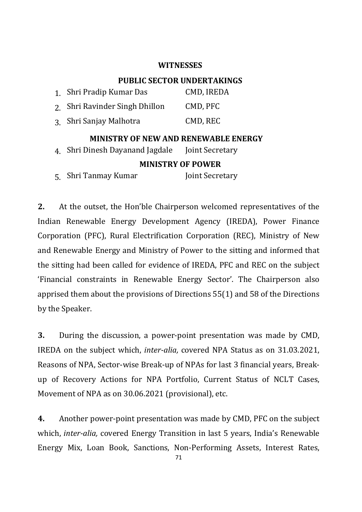#### **WITNESSES**

### **PUBLIC SECTOR UNDERTAKINGS**

| 1. Shri Pradip Kumar Das       | CMD, IREDA |
|--------------------------------|------------|
| 2. Shri Ravinder Singh Dhillon | CMD, PFC   |
| 3. Shri Sanjay Malhotra        | CMD, REC   |

### **MINISTRY OF NEW AND RENEWABLE ENERGY**

4. Shri Dinesh Dayanand Jagdale Joint Secretary

#### **MINISTRY OF POWER**

5. Shri Tanmay Kumar Joint Secretary

**2.** At the outset, the Hon'ble Chairperson welcomed representatives of the Indian Renewable Energy Development Agency (IREDA), Power Finance Corporation (PFC), Rural Electrification Corporation (REC), Ministry of New and Renewable Energy and Ministry of Power to the sitting and informed that the sitting had been called for evidence of IREDA, PFC and REC on the subject 'Financial constraints in Renewable Energy Sector'. The Chairperson also apprised them about the provisions of Directions 55(1) and 58 of the Directions by the Speaker.

**3.** During the discussion, a power-point presentation was made by CMD, IREDA on the subject which, *inter-alia,* covered NPA Status as on 31.03.2021, Reasons of NPA, Sector-wise Break-up of NPAs for last 3 financial years, Breakup of Recovery Actions for NPA Portfolio, Current Status of NCLT Cases, Movement of NPA as on 30.06.2021 (provisional), etc.

**4.** Another power-point presentation was made by CMD, PFC on the subject which, *inter-alia,* covered Energy Transition in last 5 years, India's Renewable Energy Mix, Loan Book, Sanctions, Non-Performing Assets, Interest Rates,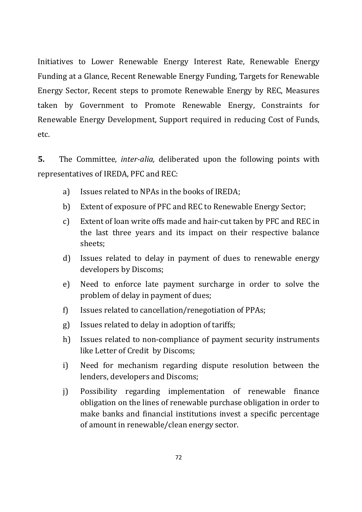Initiatives to Lower Renewable Energy Interest Rate, Renewable Energy Funding at a Glance, Recent Renewable Energy Funding, Targets for Renewable Energy Sector, Recent steps to promote Renewable Energy by REC, Measures taken by Government to Promote Renewable Energy, Constraints for Renewable Energy Development, Support required in reducing Cost of Funds, etc.

**5.** The Committee, *inter-alia,* deliberated upon the following points with representatives of IREDA, PFC and REC:

- a) Issues related to NPAs in the books of IREDA;
- b) Extent of exposure of PFC and REC to Renewable Energy Sector;
- c) Extent of loan write offs made and hair-cut taken by PFC and REC in the last three years and its impact on their respective balance sheets;
- d) Issues related to delay in payment of dues to renewable energy developers by Discoms;
- e) Need to enforce late payment surcharge in order to solve the problem of delay in payment of dues;
- f) Issues related to cancellation/renegotiation of PPAs;
- g) Issues related to delay in adoption of tariffs;
- h) Issues related to non-compliance of payment security instruments like Letter of Credit by Discoms;
- i) Need for mechanism regarding dispute resolution between the lenders, developers and Discoms;
- j) Possibility regarding implementation of renewable finance obligation on the lines of renewable purchase obligation in order to make banks and financial institutions invest a specific percentage of amount in renewable/clean energy sector.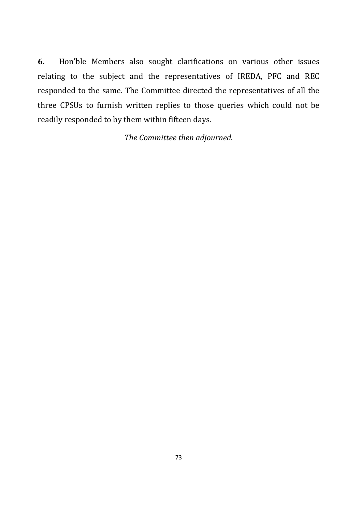**6.** Hon'ble Members also sought clarifications on various other issues relating to the subject and the representatives of IREDA, PFC and REC responded to the same. The Committee directed the representatives of all the three CPSUs to furnish written replies to those queries which could not be readily responded to by them within fifteen days.

*The Committee then adjourned.*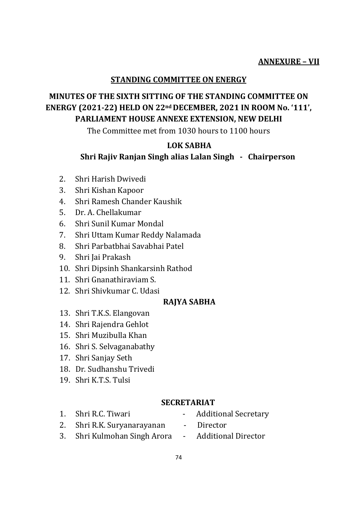#### **STANDING COMMITTEE ON ENERGY**

# **MINUTES OF THE SIXTH SITTING OF THE STANDING COMMITTEE ON ENERGY (2021-22) HELD ON 22nd DECEMBER, 2021 IN ROOM No. '111', PARLIAMENT HOUSE ANNEXE EXTENSION, NEW DELHI**

The Committee met from 1030 hours to 1100 hours

### **LOK SABHA**

### **Shri Rajiv Ranjan Singh alias Lalan Singh - Chairperson**

- 2. Shri Harish Dwivedi
- 3. Shri Kishan Kapoor
- 4. Shri Ramesh Chander Kaushik
- 5. Dr. A. Chellakumar
- 6. Shri Sunil Kumar Mondal
- 7. Shri Uttam Kumar Reddy Nalamada
- 8. Shri Parbatbhai Savabhai Patel
- 9. Shri Jai Prakash
- 10. Shri Dipsinh Shankarsinh Rathod
- 11. Shri Gnanathiraviam S.
- 12. Shri Shivkumar C. Udasi

## **RAJYA SABHA**

- 13. Shri T.K.S. Elangovan
- 14. Shri Rajendra Gehlot
- 15. Shri Muzibulla Khan
- 16. Shri S. Selvaganabathy
- 17. Shri Sanjay Seth
- 18. Dr. Sudhanshu Trivedi
- 19. Shri K.T.S. Tulsi

#### **SECRETARIAT**

- 
- 1. Shri R.C. Tiwari Additional Secretary
- 2. Shri R.K. Suryanarayanan Director
	-
- 3. Shri Kulmohan Singh Arora Additional Director